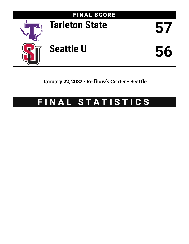

## January 22, 2022 • Redhawk Center - Seattle

# FINAL STATISTICS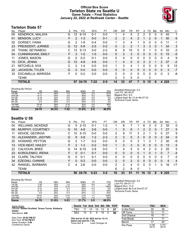### **Official Box Score Tarleton State vs Seattle U Game Totals -- Final Statistics January 22, 2022 at Redhawk Center - Seattle**



### **Tarleton State 57**

| No. | Plaver                    | S  | Pts           | FG.      | 3FG      | FT      | 0 <sub>R</sub> | DR.          | TR           | PF             | A | TO            | <b>B</b> lk | Stl           | Min | $+/-$ |
|-----|---------------------------|----|---------------|----------|----------|---------|----------------|--------------|--------------|----------------|---|---------------|-------------|---------------|-----|-------|
| 00  | KENDRICK, MALAYA          | G  | 12            | $6 - 15$ | $0 - 1$  | $0-0$   |                | 4            | 5            | 2              | 2 | 5             | $\Omega$    | 0             | 45  | 1     |
| 01  | <b>BENSON, LUCY</b>       | F  | $\mathcal{P}$ | $1 - 3$  | $0 - 0$  | $0 - 1$ | $\overline{2}$ | 2            | 4            | $\overline{2}$ |   | 2             | $\Omega$    | 1.            | 30  | 6     |
| 02  | DORSEY, IYANA             | G  | 2             | $1 - 9$  | $0 - 4$  | $0 - 0$ |                | 3            | 4            |                | 0 | 0             | 0           | 0             | 11  | $-1$  |
| 23  | PRESIDENT, JURNEE         | G  | 12            | $5-9$    | $2 - 5$  | $0 - 2$ | 0              | 2            | 2            | 1              | 3 | 3             | $\Omega$    | 1             | 34  | 3     |
| 25  | THIAM, SEYNABOU           | C. | 12            | $5 - 13$ | $0 - 0$  | $2 - 2$ | 6              | 9            | 15           | $\Omega$       | 0 |               | 5           | 0             | 33  | $-3$  |
| 04  | <b>CUNNINGHAM, EMILY</b>  | F. | 3             | $1 - 5$  | $1 - 5$  | $0 - 0$ | 0              | 3            | 3            | $\Omega$       | 0 | $\mathbf{0}$  | $\Omega$    | 0             | 15  | $-5$  |
| 11  | JONES, MASON              | G  | 0             | $0 - 2$  | $0 - 1$  | $0 - 0$ | 0              | $\Omega$     | 0            | 0              | 0 | 0             | $\Omega$    | 0             | 4   | 9     |
| 12  | DICK, JENNA               | G  | 12            | $4 - 8$  | $4-6$    | $0 - 0$ | $\mathbf 1$    | 4            | 5            | $\Omega$       | 3 | $\mathcal{P}$ |             | $\mathcal{P}$ | 37  | $-2$  |
| 21  | MITCHELS, NYA             | C  | 2             | 1-4      | $0 - 0$  | $0 - 0$ |                | 3            | 4            |                | 0 | 0             | 0           | 0             | 9   | 12    |
| 22  | <b>JACKSON, TYLER</b>     | G  | $\Omega$      | $0 - 0$  | $0 - 0$  | $0 - 0$ | 0              | $\mathbf{0}$ | $\mathbf{0}$ | $\Omega$       | 0 | $\Omega$      | $\Omega$    | $\Omega$      | 3   | $-7$  |
| 33  | <b>ESCAMILLA, MARISSA</b> | F  | 0             | $0 - 2$  | $0 - 0$  | $0 - 0$ | 0              | $\Omega$     | $\Omega$     | 0              | 0 | 0             | 0           | $\Omega$      | 3   | -8    |
|     | <b>TEAM</b>               |    |               |          |          |         | 2              | 3            | 5            | $\mathbf{0}$   |   | 2             |             |               |     |       |
|     | <b>TOTALS</b>             |    | 57            | 24-70    | $7 - 22$ | $2 - 5$ | 14             | 33           | 47           | 7              | 9 | 15            | 6           | 4             | 225 |       |

| <b>Shooting By Period</b> |           |       |          |       |         |       |
|---------------------------|-----------|-------|----------|-------|---------|-------|
| Period                    | FG        | FG%   | 3FG      | 3FG%  | FT      | FT%   |
| 1st Qtr                   | 4-17      | 24%   | $1-5$    | 20%   | $2 - 3$ | 67%   |
| 2nd Qtr                   | $6 - 17$  | 35%   | $2 - 5$  | 40%   | $0 - 2$ | 00%   |
| 3rd Qtr                   | $6 - 18$  | 33%   | $2-6$    | 33%   | 0-0     | 0%    |
| 4th Qtr                   | $5 - 13$  | 38%   | $2 - 4$  | 50%   | 0-0     | 0%    |
| 5th Qtr                   | $3 - 5$   | 60%   | $0 - 2$  | 00%   | 0-0     | 0%    |
| 1st Half                  | 10-34     | 29%   | $3 - 10$ | 30%   | $2 - 5$ | 40%   |
| 2nd Half                  | $11 - 31$ | 35%   | $4 - 10$ | 40%   | 0-0     | 0%    |
| Game                      | 24-70     | 34.3% | 7-22     | 31.8% | $2 - 5$ | 40.0% |

*Deadball Rebounds:* 2,0 *Last FG:* 5th-00:07 *Biggest Run:* 9-0 *Largest lead:* By 13 at 4th-07:23 *Technical Fouls:* None.

### **Seattle U 56**

| No. | Player                   | S  | Pts | FG       | 3FG      | FТ      | 0R             | DR       | TR       | PF | A        | TO            | Blk          | Stl          | Min | $+/-$          |
|-----|--------------------------|----|-----|----------|----------|---------|----------------|----------|----------|----|----------|---------------|--------------|--------------|-----|----------------|
| 04  | <b>WILLIAMS, MCKENZI</b> | G  | 5   | $2 - 10$ | $0 - 1$  | $1 - 2$ |                | 6        |          |    | 6        | 3             | 0            |              | 35  | 0              |
| 05  | MURPHY, COURTNEY         | G  | 10  | $4 - 8$  | $2-6$    | $0 - 0$ |                | 5        | 6        |    | 2        | $\mathcal{P}$ | 0            |              | 27  | 5              |
| 11  | <b>KEHOE, GEORGIA</b>    | С  | 10  | $5 - 15$ | $0 - 0$  | $0 - 0$ | 2              | 9        | 11       | 3  | 2        |               | 5            | 0            | 27  | 9              |
| 15  | ALEXANDER, JADYNN        | G  | 9   | $3 - 8$  | $1 - 2$  | $2 - 3$ | $\overline{2}$ | 3        | 5        | 3  | 0        | 0             | $\mathbf{0}$ | 2            | 34  | $\Omega$       |
| 20  | HOWARD, PEYTON           | G  | 2   | $1 - 7$  | $0 - 2$  | $0 - 0$ | 0              | 0        | 0        | 3  | 1        | 3             |              | 2            | 30  | -9             |
| 13  | <b>VICE-NEAT, HAILEY</b> | F. | 2   | $1 - 3$  | $0 - 2$  | $0 - 0$ | 1              | 2        | 3        | 0  | 0        | 0             | $\Omega$     | 0            | 13  | 5              |
| 22  | <b>CALHOUN, BREE</b>     | G  | 14  | $6 - 15$ | $2 - 8$  | $0 - 0$ |                | 4        | 5        | 0  | 4        | 2             | 0            | 2            | 25  | 5              |
| 23  | KOROLENKO, IRENA         | F. | 0   | $0 - 1$  | $0 - 1$  | $0 - 0$ | 0              | 0        | $\Omega$ | 0  |          | 0             |              | 0            | 7   | $-4$           |
| 24  | <b>CLARK, TALIYAH</b>    | G  | 0   | $0 - 1$  | $0 - 1$  | $0 - 0$ | 0              | $\Omega$ | 0        | 0  | 0        | 0             | $\Omega$     | <sup>0</sup> | 7   | -3             |
| 34  | <b>EZEONU, CHINWE</b>    | F  | 0   | $0 - 2$  | $0 - 0$  | $0 - 0$ | $\overline{2}$ | 0        | 2        | 0  | 0        | 0             | 0            | $\Omega$     | 4   | $\overline{4}$ |
| 42  | RANGEL, BARBARA          | С  | 4   | $2-6$    | $0-0$    | $0 - 0$ | $\mathcal{P}$  | 2        | 4        | 0  | $\Omega$ | 0             |              | 0            | 16  | $-17$          |
|     | <b>TEAM</b>              |    |     |          |          |         | 6              | 2        | 8        | 0  |          | ◢             |              |              |     |                |
|     | <b>TOTALS</b>            |    | 56  | 24-76    | $5 - 23$ | $3 - 5$ | 18             | 33       | 51       | 11 | 16       | 12            | 8            | 9            | 225 |                |

#### *Shooting By Period* **Period FG FG% 3FG 3FG% FT FT%** 1st Qtr 7-20 35% 1-4 25% 0-0 0% 2nd Qtr 3-21 14% 2-10 20% 1-1 100% 3rd Qtr 4-12 33% 0-3 00% 0-0 0% 4th Qtr 8-15 53% 2-3 67% 1-2 50% 5th Qtr 2-8 25% 0-3 00% 1-2 50% 1st Half 10-41 24% 3-14 21% 1-1 100% 2nd Half 12-27 44% 2-6 33% 1-2 50% **Game 24-76 31.6% 5-23 21.7% 3-5 60.0%**

*Deadball Rebounds:* 3,0 *Last FG:* 5th-01:17 *Biggest Run:* 11-0 *Largest lead:* By 8 at 2nd-07:27 *Technical Fouls:* None.

Game Notes: Officials: **Robert Scofield, Teresa Turner, Kimberly Hobbs** Attendance: **240**

Start Time: **05:02 PM ET** End Time: **07:02 PM ET** Game Duration: **2:00** Conference Game;

| Score 1st 2nd 3rd 4th 5th TOT |      |     |   |    |     |      |
|-------------------------------|------|-----|---|----|-----|------|
| TSU 11 14 14 12 6             |      |     |   |    |     | - 57 |
| SEA                           | - 15 | - 9 | 8 | 19 | - 5 | -56  |

**TSU led for 31:02. SEA led for 12:13. Game was tied for 1:44.** Times tied: **2** Lead Changes: **6**

| <b>Points</b>     | <b>TSU</b>     | <b>SEA</b>     |
|-------------------|----------------|----------------|
| In the Paint      | 30             | 38             |
| Off Turns         | 12             | 11             |
| 2nd Chance        | 19             | 11             |
| <b>Fast Break</b> |                | 11             |
| Bench             | 17             | 20             |
| Per Poss          | 0.792<br>25/72 | 0.747<br>26/75 |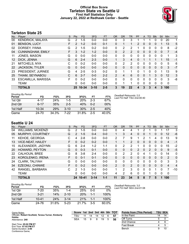### **Official Box Score Tarleton State vs Seattle U First Half Statistics Only January 22, 2022 at Redhawk Center - Seattle**



### **Tarleton State 25**

| No. | Plaver                   | S | <b>Pts</b> | <b>FG</b> | 3FG      | <b>FT</b> | <b>OR</b> | <b>DR</b>      | <b>TR</b>      | PF             | $\mathsf{A}$ | TO       | <b>Blk</b> | Stl      | <b>Min</b> | $+/-$ |
|-----|--------------------------|---|------------|-----------|----------|-----------|-----------|----------------|----------------|----------------|--------------|----------|------------|----------|------------|-------|
| 00  | <b>KENDRICK, MALAYA</b>  | G | 2          | $1-5$     | $0 - 0$  | $0 - 0$   | 0         | 3              | 3              |                |              |          | 0          | 0        | 20         | 1     |
| 01  | <b>BENSON, LUCY</b>      | F | 2          | $1 - 2$   | $0 - 0$  | $0 - 1$   | 0         | 1              |                | $\overline{2}$ | 0            | 0        | 0          | 1        | 13         | 5     |
| 02  | DORSEY, IYANA            | G | 2          | $1 - 5$   | $0 - 2$  | $0 - 0$   | 0         | 2              | 2              |                | 0            | 0        | 0          | 0        | 8          | $-2$  |
| 04  | <b>CUNNINGHAM, EMILY</b> | F | 3          | $1 - 2$   | $1 - 2$  | $0 - 0$   | 0         | $\overline{2}$ | $\overline{2}$ | $\Omega$       | 0            | $\Omega$ | 0          | 0        | 7          | $-4$  |
| 11  | JONES, MASON             | G | 0          | $0 - 0$   | $0 - 0$  | $0 - 0$   | 0         | $\Omega$       | 0              | 0              | 0            | $\Omega$ | 0          | 0        | 1          | 3     |
| 12  | DICK, JENNA              | G | 6          | $2 - 4$   | $2 - 3$  | $0 - 0$   |           | 3              | 4              | 0              |              |          |            | 1        | 15         | $-1$  |
| 21  | MITCHELS, NYA            | С | $\Omega$   | $0 - 2$   | $0 - 0$  | $0 - 0$   | 0         | 2              | $\overline{2}$ | 0              | 0            | 0        | 0          | 0        | 5          | 6     |
| 22  | <b>JACKSON, TYLER</b>    | G | 0          | $0 - 0$   | $0 - 0$  | $0 - 0$   | 0         | $\Omega$       | $\Omega$       | $\Omega$       | 0            | 0        | 0          | $\Omega$ | 3          | $-7$  |
| 23  | PRESIDENT, JURNEE        | G | 4          | $2 - 5$   | $0 - 3$  | $0 - 2$   | 0         | 1              | 1              | 0              |              | 0        | 0          | 1        | 13         | 9     |
| 25  | THIAM, SEYNABOU          | С | 6          | $2 - 7$   | $0 - 0$  | $2 - 2$   | 2         | 4              | 6              | $\Omega$       | 0            |          | 3          | 0        | 12         | 3     |
| 33  | ESCAMILLA, MARISSA       | F | 0          | $0 - 2$   | $0 - 0$  | $0 - 0$   | 0         | $\Omega$       | 0              | 0              | 0            | $\Omega$ | $\Omega$   | $\Omega$ | 3          | -8    |
|     | <b>TEAM</b>              |   | 0          | $0 - 0$   | $0 - 0$  | $0 - 0$   | 0         | 1              | 1              | $\Omega$       | 0            | $\Omega$ | $\Omega$   | 0        | 0          |       |
|     | <b>TOTALS</b>            |   | 25.        | 10-34     | $3 - 10$ | $2 - 5$   | 3         | 19             | 22             | 4              | 3            | 3        | 4          | 3        | 100        |       |

| <b>Shooting By Period</b><br>Period | FG        | FG%   | 3FG      | 3FG%  | FT      | FT%   |
|-------------------------------------|-----------|-------|----------|-------|---------|-------|
| 1st Otr                             | 4-17      | 24%   | $1 - 5$  | 20%   | $2-3$   | 67%   |
| 2nd Qtr                             | $6 - 17$  | 35%   | $2 - 5$  | 40%   | $0 - 2$ | 00%   |
| 1st Half                            | $10 - 34$ | 29%   | $3 - 10$ | 30%   | $2 - 5$ | 40%   |
| Game                                | 24 70     | 34.3% | 7-22     | 31.8% | $2-5$   | 40.0% |

*Deadball Rebounds:* 2,0 *Last FG Half:* TSU 2nd-00:40

### **Seattle U 24**

| No. | Plaver                   | S  | <b>Pts</b>    | <b>FG</b> | 3FG      | <b>FT</b> | <b>OR</b>     | <b>DR</b> | TR             | <b>PF</b> | A | TO       | <b>BIK</b> | Stl      | Min | $+/-$          |
|-----|--------------------------|----|---------------|-----------|----------|-----------|---------------|-----------|----------------|-----------|---|----------|------------|----------|-----|----------------|
| 04  | <b>WILLIAMS, MCKENZI</b> | G  | 2             | $1 - 5$   | $0 - 0$  | $0 - 0$   | 0             | 4         | 4              | 1         | 2 |          | 0          |          | 17  | 3              |
| 05  | MURPHY, COURTNEY         | G  | $\mathcal{P}$ | $1 - 5$   | $0 - 4$  | $0 - 0$   | 1             | 3         | 4              | $\Omega$  | 0 |          | $\Omega$   | 0        | 12  | -6             |
| 11  | <b>KEHOE, GEORGIA</b>    | С  | 4             | $2 - 8$   | $0 - 0$  | $0 - 0$   | 2             |           | 9              |           | 2 |          | 4          | 0        | 13  | 9              |
| 13  | <b>VICE-NEAT, HAILEY</b> | F. | $\Omega$      | $0 - 2$   | $0 - 2$  | $0 - 0$   |               | 1         | $\overline{2}$ | $\Omega$  | 0 | 0        | 0          | $\Omega$ | 4   | -1             |
| 15  | ALEXANDER, JADYNN        | G  | 6             | $2 - 4$   | $1 - 2$  | $1 - 1$   | 0             | 2         | 2              | 1         | 0 | 0        | 0          | 0        | 15  | $-2$           |
| 20  | HOWARD, PEYTON           | G  | $\Omega$      | $0 - 3$   | $0 - 1$  | $0 - 0$   | $\Omega$      | 0         | 0              | 2         | 0 | 2        | $\Omega$   | 0        | 9   | $-5$           |
| 22  | CALHOUN, BREE            | G  | 8             | $3 - 8$   | $2 - 4$  | $0 - 0$   | $\Omega$      | 2         | $\overline{2}$ | 0         | 4 |          | 0          | 0        | 14  | 0              |
| 23  | KOROLENKO, IRENA         | F. | 0             | $0 - 1$   | $0 - 1$  | $0 - 0$   | 0             | 0         | 0              | $\Omega$  | 0 | 0        | $\Omega$   | $\Omega$ | 2   | 0              |
| 24  | CLARK, TALIYAH           | G  | 0             | $0 - 0$   | $0 - 0$  | $0 - 0$   | $\Omega$      | 0         | $\Omega$       | 0         | 0 | 0        | 0          | 0        | 3   | 3              |
| 34  | EZEONU, CHINWE           | F  | $\Omega$      | $0 - 2$   | $0 - 0$  | $0 - 0$   | $\mathcal{P}$ | 0         | $\overline{2}$ | $\Omega$  | 0 | $\Omega$ | 0          | 0        | 4   | $\overline{4}$ |
| 42  | RANGEL, BARBARA          | C  | 2             | $1 - 3$   | $0 - 0$  | $0 - 0$   | 1             | 2         | 3              | 0         | 0 | 0        |            | 0        | 7   | $-10$          |
|     | <b>TEAM</b>              |    | 0             | $0 - 0$   | $0 - 0$  | $0 - 0$   | 4             | 2         | 6              | 0         | 0 |          | 0          | 0        | 0   |                |
|     | <b>TOTALS</b>            |    |               | 24 10-41  | $3 - 14$ | $1 - 1$   | 11            | 23        | 34             | 5         | 8 |          | 5          | 1        | 100 |                |

| <b>Shooting By Period</b><br>Period | FG        | FG%   | 3FG      | 3FG%  | FT    | FT%   |
|-------------------------------------|-----------|-------|----------|-------|-------|-------|
| 1st Otr                             | 7-20      | 35%   | $1 - 4$  | 25%   | 0-0   | 0%    |
| 2nd Qtr                             | $3 - 21$  | 14%   | $2 - 10$ | 20%   | 1-1   | 100%  |
| 1st Half                            | $10 - 41$ | 24%   | $3 - 14$ | 21%   | 1-1   | 100%  |
| Game                                | 24 76     | 31.6% | $5-23$   | 21.7% | $3-5$ | 60.0% |

*Deadball Rebounds:* 3,0 *Last FG Half:* SEA 2nd-01:08

| Game Notes:                                                         | Score 1st 2nd 3rd 4th 5th TOT |    |    |    |    |    | <b>Points from (This Period)</b> |    | <b>TSU SEA</b> |
|---------------------------------------------------------------------|-------------------------------|----|----|----|----|----|----------------------------------|----|----------------|
| Officials: Robert Scofield, Teresa Turner, Kimberly<br><b>Hobbs</b> | TSU                           | 11 | 14 | 14 | 12 | 57 | In the Paint                     | 14 |                |
| Attendance: 240                                                     | <b>SEA</b>                    | 15 | 9  |    | 19 | 56 | Off Turns                        |    |                |
|                                                                     |                               |    |    |    |    |    | 2nd Chance                       |    |                |
| Start Time: 05:02 PM ET<br>End Time: 07:02 PM ET                    |                               |    |    |    |    |    | Fast Break                       |    |                |
| Game Duration: 2:00<br>Conference Game:                             |                               |    |    |    |    |    | Bench                            |    |                |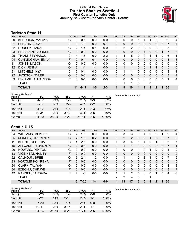### **Official Box Score Tarleton State vs Seattle U First Quarter Statistics Only January 22, 2022 at Redhawk Center - Seattle**



### **Tarleton State 11**

| No.               | Plaver                    | S | <b>Pts</b>     | <b>FG</b> | 3FG     | <b>FT</b> | <b>OR</b>    | <b>DR</b> | TR           | <b>PF</b> | A            | TO       | <b>B</b> lk | <b>Stl</b> | Min | $+/-$ |
|-------------------|---------------------------|---|----------------|-----------|---------|-----------|--------------|-----------|--------------|-----------|--------------|----------|-------------|------------|-----|-------|
| 00                | KENDRICK, MALAYA          | G | 0              | 0-1       | $0-0$   | $0 - 0$   | 0            | 0         | 0            |           |              |          | 0           | 0          | 10  | $-4$  |
| 01                | <b>BENSON, LUCY</b>       | F | $\overline{2}$ | $1 - 1$   | $0 - 0$ | $0 - 1$   | 0            | 0         | 0            | $\Omega$  | 0            | 0        | 0           | 0          | 7   | 4     |
| 02                | DORSEY, IYANA             | G | 2              | $1 - 4$   | $0 - 1$ | $0 - 0$   | 0            | 2         | 2            | 0         | 0            | 0        | 0           | 0          | 5   | 2     |
| 23                | PRESIDENT, JURNEE         | G | 0              | $0 - 2$   | $0 - 2$ | $0 - 0$   | $\mathbf{0}$ | 0         | 0            | $\Omega$  |              | $\Omega$ | $\Omega$    |            | 7   | 3     |
| 25                | THIAM, SEYNABOU           | C | 4              | $1 - 5$   | $0 - 0$ | $2 - 2$   | 1            | 4         | 5            | 0         | 0            |          | 1           | $\Omega$   | 6   | -1    |
| 04                | <b>CUNNINGHAM, EMILY</b>  | F | $\mathbf{0}$   | $0 - 1$   | $0 - 1$ | $0 - 0$   | 0            | 0         | 0            | $\Omega$  | $\Omega$     | 0        | 0           | 0          | 3   | -8    |
| 11                | <b>JONES, MASON</b>       | G | 0              | $0 - 0$   | $0 - 0$ | $0 - 0$   | 0            | 0         | $\mathbf{0}$ | 0         | 0            | 0        | 0           | 0          | 0   | 0     |
| $12 \overline{ }$ | DICK, JENNA               | G | 3              | $1 - 1$   | $1 - 1$ | $0 - 0$   | 0            |           | $\mathbf{1}$ | $\Omega$  | $\Omega$     |          | 1           | $\Omega$   | 5   | $-6$  |
| 21                | MITCHELS, NYA             | С | 0              | $0 - 1$   | $0 - 0$ | $0 - 0$   | 0            |           |              | 0         | $\mathbf{0}$ | 0        | 0           | 0          | 3   | 1     |
| 22                | <b>JACKSON, TYLER</b>     | G | 0              | $0 - 0$   | $0 - 0$ | $0 - 0$   | $\Omega$     | $\Omega$  | 0            | $\Omega$  | $\Omega$     | 0        | $\Omega$    | 0          | 3   | $-7$  |
| 33                | <b>ESCAMILLA, MARISSA</b> | F | 0              | $0 - 1$   | $0-0$   | $0 - 0$   | 0            | 0         | $\Omega$     | 0         | 0            | 0        | 0           | 0          | 1   | $-4$  |
|                   | <b>TEAM</b>               |   |                |           |         |           | 0            |           | 1            | 0         |              | 0        |             |            |     |       |
|                   | <b>TOTALS</b>             |   | 11             | 4-17      | 1-5     | $2 - 3$   |              | 9         | 10           |           | $\mathbf 2$  | 3        | $\mathbf 2$ |            | 50  |       |

| <b>Shooting By Period</b><br>Period | FG        | FG%   | 3FG      | 3FG%       | FT      | FT%   | Deadball Rebounds: 2,0 |
|-------------------------------------|-----------|-------|----------|------------|---------|-------|------------------------|
| 1st Qtr                             | 4-17      | 24%   | $1-5$    | <b>20%</b> | $2 - 3$ | 67%   |                        |
| 2nd Qtr                             | $6 - 17$  | 35%   | $2 - 5$  | 40%        | $0 - 2$ | 00%   |                        |
| 1st Half                            | 4-17      | 24%   | 1-5      | <b>20%</b> | $2 - 3$ | 67%   |                        |
| 1st Half                            | $10 - 34$ | 29%   | $3 - 10$ | 30%        | $2 - 5$ | 40%   |                        |
| Game                                | 24 70     | 34.3% | 7-22     | 31.8%      | $2 - 5$ | 40.0% |                        |

### **Seattle U 15**

| No. | Player                   | S | Pts      | FG       | 3FG     | <b>FT</b> | <b>OR</b>    | <b>DR</b> | <b>TR</b>      | PF       | A | <b>TO</b> | <b>Blk</b> | Stl      | Min      | $+/-$    |
|-----|--------------------------|---|----------|----------|---------|-----------|--------------|-----------|----------------|----------|---|-----------|------------|----------|----------|----------|
| 04  | <b>WILLIAMS, MCKENZI</b> | G | 2        | $1 - 5$  | 0-0     | $0-0$     | 0            | 3         | 3              | 0        |   | 0         |            |          | 9        | 4        |
| 05  | MURPHY, COURTNEY         | G | 2        | $1 - 3$  | $0 - 2$ | $0 - 0$   | 0            | 2         | $\overline{2}$ | 0        | 0 |           | 0          | 0        | 7        | $-3$     |
| 11  | <b>KEHOE, GEORGIA</b>    | С | 4        | $2 - 5$  | $0 - 0$ | $0 - 0$   | 1            | 3         | 4              |          |   | 0         |            | 0        | 6        | 7        |
| 15  | ALEXANDER, JADYNN        | G | $\Omega$ | $0 - 0$  | $0 - 0$ | $0 - 0$   | $\Omega$     | 1         | 1              |          | 0 | 0         | 0          | 0        | 7        | 1        |
| 20  | HOWARD, PEYTON           | G | $\Omega$ | $0 - 0$  | $0 - 0$ | $0 - 0$   | $\Omega$     | 0         | 0              |          | 0 |           | 0          | 0        | 4        | $-2$     |
| 13  | <b>VICE-NEAT, HAILEY</b> | F | $\Omega$ | $0 - 0$  | $0 - 0$ | $0 - 0$   | 0            | 0         | 0              | $\Omega$ | 0 | 0         | 0          | 0        | $\Omega$ | $\Omega$ |
| 22  | <b>CALHOUN, BREE</b>     | G | 5        | $2 - 4$  | $1 - 2$ | $0 - 0$   | 0            | 1         | 1              | 0        | 3 |           | 0          | 0        |          | 6        |
| 23  | KOROLENKO, IRENA         | F | $\Omega$ | $0 - 0$  | $0 - 0$ | $0 - 0$   | 0            | 0         | 0              | 0        | 0 | 0         | $\Omega$   | 0        | $\Omega$ | $\Omega$ |
| 24  | CLARK, TALIYAH           | G | $\Omega$ | $0 - 0$  | $0 - 0$ | $0 - 0$   | $\mathbf{0}$ | 0         | 0              | 0        | 0 | $\Omega$  | 0          | 0        | 3        | 3        |
| 34  | EZEONU, CHINWE           | F | 0        | $0 - 0$  | $0 - 0$ | $0 - 0$   | 0            | 0         | $\Omega$       | 0        | 0 | 0         | $\Omega$   | $\Omega$ | 3        | 7        |
| 42  | RANGEL, BARBARA          | C | 2        | $1 - 3$  | $0 - 0$ | $0 - 0$   | 1.           | 1         | 2              | 0        | 0 | 0         |            | 0        | 4        | $-3$     |
|     | <b>TEAM</b>              |   |          |          |         |           | 2            | 2         | 4              | $\Omega$ |   |           |            |          |          |          |
|     | <b>TOTALS</b>            |   | 15       | $7 - 20$ | $1 - 4$ | $0-0$     | 4            | 13        | 17             | 3        | 5 | Δ         |            |          | 50       |          |

| <b>Shooting By Period</b> |           |       |          |       |         |       | De |
|---------------------------|-----------|-------|----------|-------|---------|-------|----|
| Period                    | FG        | FG%   | 3FG      | 3FG%  | FT      | FT%   |    |
| 1st Qtr                   | $7-20$    | 35%   | $1 - 4$  | 25%   | $0 - 0$ | 0%    |    |
| 2nd Qtr                   | $3 - 21$  | 14%   | $2 - 10$ | 20%   | $1 - 1$ | 100%  |    |
| 1st Half                  | $7 - 20$  | 35%   | 1-4      | 25%   | $0 - 0$ | $0\%$ |    |
| 1st Half                  | $10 - 41$ | 24%   | $3 - 14$ | 21%   | $1 - 1$ | 100%  |    |
| Game                      | 24 76     | 31.6% | $5-23$   | 21.7% | $3-5$   | 60.0% |    |

*Deadball Rebounds:* 3,0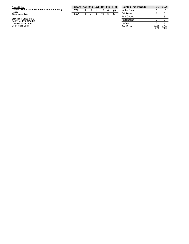| Game Notes:                                         |  |
|-----------------------------------------------------|--|
| Officials: Robert Scofield, Teresa Turner, Kimberly |  |
| <b>Hobbs</b>                                        |  |
| Attendance: 240                                     |  |

Start Time: 05:02 PM ET<br>End Time: 07:02 PM ET<br>Game Duration: 2:00<br>Conference Game;

| Score 1st 2nd 3rd 4th 5th TOT |      |        |  |      |
|-------------------------------|------|--------|--|------|
| TSU 11 14 14 12 6             |      |        |  | - 57 |
| SEA                           | 15 9 | 8 19 5 |  | - 56 |

| <b>Points (This Period)</b> | TSU           | SEA           |
|-----------------------------|---------------|---------------|
| In the Paint                | հ             | 12            |
| Off Turns                   | 5             |               |
| 2nd Chance                  | 2             | з             |
| <b>Fast Break</b>           | 2             | 2             |
| Bench                       | З             |               |
| Per Poss                    | 0.550<br>5/20 | 0.750<br>7/20 |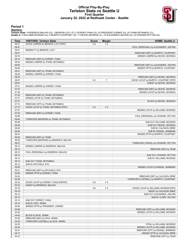### **Official Play-By-Play Tarleton State vs Seattle U First Quarter January 22, 2022 at Redhawk Center - Seattle**



### **Period 1**

<mark>Startersː</mark><br>Tarleton State: 0 KENDRICK,MALAYA (G); 1 BENSON,LUCY (F); 2 DORSEY,IYANA (G); 23 PRESIDENT,JURNEE (G); 25 THIAM,SEYNABOU (C);<br>Seattle U: 4 WILLIAMS,MCKENZI (G); 5 MURPHY,COURTNEY (G); 11 KEHOE,GEORGIA (C); 15 A

| GOOD! JUMPER by BENSON, LUCY [PNT]<br>09:41<br>$0 - 2$<br>V <sub>2</sub><br>09:41<br>FOUL (PERSONAL) by ALEXANDER, JADYNN<br>09:41<br>MISSED FT by BENSON, LUCY<br>09:41<br>REBOUND (DEF) by MURPHY, COURTNEY<br>09:18<br>MISSED JUMPER by KEHOE, GEORGIA<br>09:10<br>REBOUND (DEF) by DORSEY, IYANA<br>09:03<br>MISSED JUMPER by THIAM, SEYNABOU<br>09:00<br>REBOUND (DEF) by ALEXANDER, JADYNN<br>08:46<br>MISSED 3PTR by MURPHY, COURTNEY<br>08:41<br>REBOUND (DEF) by THIAM, SEYNABOU<br>08:28<br>MISSED JUMPER by DORSEY, IYANA<br>08:24<br>REBOUND (DEF) by KEHOE, GEORGIA<br>$\mathsf T$<br>08:07<br>$2 - 2$<br>GOOD! LAYUP by MURPHY, COURTNEY [PNT] |                                                  |
|--------------------------------------------------------------------------------------------------------------------------------------------------------------------------------------------------------------------------------------------------------------------------------------------------------------------------------------------------------------------------------------------------------------------------------------------------------------------------------------------------------------------------------------------------------------------------------------------------------------------------------------------------------------|--------------------------------------------------|
|                                                                                                                                                                                                                                                                                                                                                                                                                                                                                                                                                                                                                                                              |                                                  |
|                                                                                                                                                                                                                                                                                                                                                                                                                                                                                                                                                                                                                                                              |                                                  |
|                                                                                                                                                                                                                                                                                                                                                                                                                                                                                                                                                                                                                                                              |                                                  |
|                                                                                                                                                                                                                                                                                                                                                                                                                                                                                                                                                                                                                                                              |                                                  |
|                                                                                                                                                                                                                                                                                                                                                                                                                                                                                                                                                                                                                                                              |                                                  |
|                                                                                                                                                                                                                                                                                                                                                                                                                                                                                                                                                                                                                                                              |                                                  |
|                                                                                                                                                                                                                                                                                                                                                                                                                                                                                                                                                                                                                                                              |                                                  |
|                                                                                                                                                                                                                                                                                                                                                                                                                                                                                                                                                                                                                                                              |                                                  |
|                                                                                                                                                                                                                                                                                                                                                                                                                                                                                                                                                                                                                                                              |                                                  |
|                                                                                                                                                                                                                                                                                                                                                                                                                                                                                                                                                                                                                                                              |                                                  |
|                                                                                                                                                                                                                                                                                                                                                                                                                                                                                                                                                                                                                                                              |                                                  |
| 08:07                                                                                                                                                                                                                                                                                                                                                                                                                                                                                                                                                                                                                                                        | ASSIST by KEHOE, GEORGIA                         |
| 07:51<br>MISSED JUMPER by DORSEY, IYANA                                                                                                                                                                                                                                                                                                                                                                                                                                                                                                                                                                                                                      |                                                  |
| 07:47<br>REBOUND (DEF) by KEHOE, GEORGIA                                                                                                                                                                                                                                                                                                                                                                                                                                                                                                                                                                                                                     |                                                  |
| 07:38<br>MISSED LAYUP by KEHOE, GEORGIA                                                                                                                                                                                                                                                                                                                                                                                                                                                                                                                                                                                                                      |                                                  |
| 07:34<br>REBOUND (DEF) by THIAM, SEYNABOU                                                                                                                                                                                                                                                                                                                                                                                                                                                                                                                                                                                                                    |                                                  |
| 07:21<br>MISSED LAYUP by THIAM, SEYNABOU                                                                                                                                                                                                                                                                                                                                                                                                                                                                                                                                                                                                                     |                                                  |
| 07:21<br>07:13<br>REBOUND (OFF) by THIAM, SEYNABOU                                                                                                                                                                                                                                                                                                                                                                                                                                                                                                                                                                                                           | BLOCK by KEHOE, GEORGIA                          |
| 07:13<br>GOOD! LAYUP by THIAM, SEYNABOU [PNT]<br>V <sub>2</sub><br>$2 - 4$                                                                                                                                                                                                                                                                                                                                                                                                                                                                                                                                                                                   |                                                  |
| 07:07<br>MISSED LAYUP by WILLIAMS, MCKENZI                                                                                                                                                                                                                                                                                                                                                                                                                                                                                                                                                                                                                   |                                                  |
| 07:04<br>REBOUND (DEF) by DORSEY, IYANA                                                                                                                                                                                                                                                                                                                                                                                                                                                                                                                                                                                                                      |                                                  |
| 06:56<br>FOUL (PERSONAL) by HOWARD, PEYTON                                                                                                                                                                                                                                                                                                                                                                                                                                                                                                                                                                                                                   |                                                  |
| 06:46<br>TURNOVER (BADPASS) by THIAM, SEYNABOU                                                                                                                                                                                                                                                                                                                                                                                                                                                                                                                                                                                                               |                                                  |
| 06:46<br>SUB OUT: WILLIAMS, MCKENZI                                                                                                                                                                                                                                                                                                                                                                                                                                                                                                                                                                                                                          |                                                  |
| 06:46<br>06:46                                                                                                                                                                                                                                                                                                                                                                                                                                                                                                                                                                                                                                               | SUB OUT: KEHOE, GEORGIA<br>SUB IN: CALHOUN, BREE |
| 06:46                                                                                                                                                                                                                                                                                                                                                                                                                                                                                                                                                                                                                                                        | SUB IN: RANGEL, BARBARA                          |
| 06:41<br>MISSED 3PTR by MURPHY, COURTNEY                                                                                                                                                                                                                                                                                                                                                                                                                                                                                                                                                                                                                     |                                                  |
| 06:36<br>REBOUND (DEF) by TEAM                                                                                                                                                                                                                                                                                                                                                                                                                                                                                                                                                                                                                               |                                                  |
| TURNOVER (BADPASS) by KENDRICK, MALAYA<br>06:30                                                                                                                                                                                                                                                                                                                                                                                                                                                                                                                                                                                                              |                                                  |
| 06:27<br>TURNOVER (TRAVEL) by HOWARD, PEYTON                                                                                                                                                                                                                                                                                                                                                                                                                                                                                                                                                                                                                 |                                                  |
| 06:14<br>MISSED JUMPER by KENDRICK, MALAYA                                                                                                                                                                                                                                                                                                                                                                                                                                                                                                                                                                                                                   |                                                  |
| 06:12<br>06:12                                                                                                                                                                                                                                                                                                                                                                                                                                                                                                                                                                                                                                               | REBOUND (DEF) by TEAM                            |
| FOUL (PERSONAL) by KENDRICK, MALAYA<br>06:12                                                                                                                                                                                                                                                                                                                                                                                                                                                                                                                                                                                                                 | SUB OUT: HOWARD, PEYTON                          |
| 06:12                                                                                                                                                                                                                                                                                                                                                                                                                                                                                                                                                                                                                                                        | SUB IN: WILLIAMS, MCKENZI                        |
| 06:12<br>SUB OUT: THIAM, SEYNABOU                                                                                                                                                                                                                                                                                                                                                                                                                                                                                                                                                                                                                            |                                                  |
| 06:12<br>SUB IN: MITCHELS, NYA                                                                                                                                                                                                                                                                                                                                                                                                                                                                                                                                                                                                                               |                                                  |
| 05:55<br>MISSED LAYUP by RANGEL, BARBARA                                                                                                                                                                                                                                                                                                                                                                                                                                                                                                                                                                                                                     |                                                  |
| 05:51<br>REBOUND (DEF) by MITCHELS, NYA                                                                                                                                                                                                                                                                                                                                                                                                                                                                                                                                                                                                                      |                                                  |
| 05:46<br>MISSED 3PTR by DORSEY, IYANA<br>05:42                                                                                                                                                                                                                                                                                                                                                                                                                                                                                                                                                                                                               |                                                  |
| REBOUND (DEF) by CALHOUN, BREE<br>05:39<br>TURNOVER (LOSTBALL) by MURPHY, COURTNEY                                                                                                                                                                                                                                                                                                                                                                                                                                                                                                                                                                           |                                                  |
| 05:32<br>V <sub>4</sub><br>GOOD! LAYUP by DORSEY, IYANA [FB/PNT]<br>$2 - 6$                                                                                                                                                                                                                                                                                                                                                                                                                                                                                                                                                                                  |                                                  |
| 05:32<br>ASSIST by KENDRICK, MALAYA                                                                                                                                                                                                                                                                                                                                                                                                                                                                                                                                                                                                                          |                                                  |
| 05:18<br>V <sub>2</sub><br>$4 - 6$<br>GOOD! LAYUP by WILLIAMS, MCKENZI [PNT]                                                                                                                                                                                                                                                                                                                                                                                                                                                                                                                                                                                 |                                                  |
| 05:18                                                                                                                                                                                                                                                                                                                                                                                                                                                                                                                                                                                                                                                        | ASSIST by CALHOUN, BREE                          |
| 05:14<br>SUB OUT: ALEXANDER, JADYNN                                                                                                                                                                                                                                                                                                                                                                                                                                                                                                                                                                                                                          |                                                  |
| 05:14<br>05:14                                                                                                                                                                                                                                                                                                                                                                                                                                                                                                                                                                                                                                               | SUB IN: CLARK, TALIYAH                           |
| SUB OUT: DORSEY, IYANA<br>05:14<br>SUB IN: DICK, JENNA                                                                                                                                                                                                                                                                                                                                                                                                                                                                                                                                                                                                       |                                                  |
| 04:50<br>MISSED 3PTR by PRESIDENT, JURNEE                                                                                                                                                                                                                                                                                                                                                                                                                                                                                                                                                                                                                    |                                                  |
| 04:46<br>REBOUND (DEF) by WILLIAMS, MCKENZI                                                                                                                                                                                                                                                                                                                                                                                                                                                                                                                                                                                                                  |                                                  |
| 04:42<br>MISSED LAYUP by WILLIAMS, MCKENZI                                                                                                                                                                                                                                                                                                                                                                                                                                                                                                                                                                                                                   |                                                  |
| 04:42<br>BLOCK by DICK, JENNA                                                                                                                                                                                                                                                                                                                                                                                                                                                                                                                                                                                                                                |                                                  |
| 04:36<br>REBOUND (DEF) by DICK, JENNA                                                                                                                                                                                                                                                                                                                                                                                                                                                                                                                                                                                                                        |                                                  |
| 04:35<br>TURNOVER (LOSTBALL) by DICK, JENNA                                                                                                                                                                                                                                                                                                                                                                                                                                                                                                                                                                                                                  |                                                  |
| 04:35                                                                                                                                                                                                                                                                                                                                                                                                                                                                                                                                                                                                                                                        | STEAL by WILLIAMS, MCKENZI                       |
| 04:24<br>MISSED LAYUP by WILLIAMS, MCKENZI<br>04:21<br>REBOUND (OFF) by RANGEL, BARBARA                                                                                                                                                                                                                                                                                                                                                                                                                                                                                                                                                                      |                                                  |
| 04:17<br>MISSED 3PTR by CALHOUN, BREE                                                                                                                                                                                                                                                                                                                                                                                                                                                                                                                                                                                                                        |                                                  |
| 04:15                                                                                                                                                                                                                                                                                                                                                                                                                                                                                                                                                                                                                                                        | REBOUND (OFF) by TEAM                            |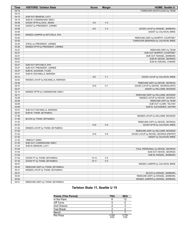| <b>Time</b> | <b>VISITORS: Tarleton State</b>    | <b>Score</b> | <b>Margin</b>  | <b>HOME: Seattle U</b>                 |
|-------------|------------------------------------|--------------|----------------|----------------------------------------|
| 04:15       |                                    |              |                | TURNOVER (SHOTCLOCK) by TEAM           |
| 04:15       |                                    |              |                |                                        |
| 04:15       | SUB OUT: BENSON, LUCY              |              |                |                                        |
| 04:15       | SUB IN: CUNNINGHAM, EMILY          |              |                |                                        |
| 04:09       | GOOD! 3PTR by DICK, JENNA          | $4 - 9$      | V <sub>5</sub> |                                        |
| 04:09       | ASSIST by PRESIDENT, JURNEE        |              |                |                                        |
| 03:59       |                                    | $6-9$        | $V_3$          | GOOD! LAYUP by RANGEL, BARBARA         |
| 03:59       |                                    |              |                | ASSIST by CALHOUN, BREE                |
| 03:45       | MISSED JUMPER by MITCHELS, NYA     |              |                |                                        |
| 03:40       |                                    |              |                | REBOUND (DEF) by MURPHY, COURTNEY      |
| 03:35       |                                    |              |                | TURNOVER (BADPASS) by CALHOUN, BREE    |
| 03:35       | STEAL by PRESIDENT, JURNEE         |              |                |                                        |
| 03:29       | MISSED 3PTR by PRESIDENT, JURNEE   |              |                |                                        |
| 03:27       |                                    |              |                | REBOUND (DEF) by TEAM                  |
| 03:27       |                                    |              |                | SUB OUT: MURPHY, COURTNEY              |
| 03:27       |                                    |              |                | SUB OUT: RANGEL, BARBARA               |
| 03:27       |                                    |              |                | SUB IN: KEHOE, GEORGIA                 |
| 03:27       |                                    |              |                | SUB IN: EZEONU, CHINWE                 |
| 03:27       | SUB OUT: MITCHELS, NYA             |              |                |                                        |
| 03:27       | SUB OUT: PRESIDENT, JURNEE         |              |                |                                        |
| 03:27       | SUB IN: JACKSON, TYLER             |              |                |                                        |
| 03:27       | SUB IN: ESCAMILLA, MARISSA         |              |                |                                        |
| 03:12       |                                    | $8-9$        | V <sub>1</sub> | GOOD! LAYUP by CALHOUN, BREE           |
| 02:52       | MISSED LAYUP by ESCAMILLA, MARISSA |              |                |                                        |
| 02:48       |                                    |              |                | REBOUND (DEF) by KEHOE, GEORGIA        |
| 02:37       |                                    | $10-9$       | H <sub>1</sub> | GOOD! LAYUP by KEHOE, GEORGIA [PNT]    |
| 02:37       |                                    |              |                | ASSIST by WILLIAMS, MCKENZI            |
| 02:14       | MISSED 3PTR by CUNNINGHAM, EMILY   |              |                |                                        |
| 02:11       |                                    |              |                | REBOUND (DEF) by WILLIAMS, MCKENZI     |
| 02:08       |                                    |              |                | MISSED LAYUP by KEHOE, GEORGIA         |
| 02:08       |                                    |              |                | REBOUND (OFF) by TEAM                  |
| 02:08       |                                    |              |                | SUB OUT: CLARK, TALIYAH                |
| 02:08       |                                    |              |                | SUB IN: ALEXANDER, JADYNN              |
| 02:07       | SUB OUT: ESCAMILLA, MARISSA        |              |                |                                        |
| 02:07       | SUB IN: THIAM, SEYNABOU            |              |                |                                        |
| 01:58       |                                    |              |                | MISSED LAYUP by WILLIAMS, MCKENZI      |
| 01:58       | BLOCK by THIAM, SEYNABOU           |              |                |                                        |
| 01:53       |                                    |              |                | REBOUND (OFF) by KEHOE, GEORGIA        |
| 01:47       |                                    | $13-9$       | H4             | GOOD! 3PTR by CALHOUN, BREE            |
| 01:29       | MISSED LAYUP by THIAM, SEYNABOU    |              |                |                                        |
| 01:25       |                                    |              |                | REBOUND (DEF) by WILLIAMS, MCKENZI     |
| 01:22       |                                    | $15-9$       | H <sub>6</sub> | GOOD! LAYUP by KEHOE, GEORGIA [FB/PNT] |
| 01:22       |                                    |              |                | ASSIST by CALHOUN, BREE                |
| 01:20       | <b>TIMEOUT 30SEC</b>               |              |                |                                        |
| 01:20       | SUB OUT: CUNNINGHAM, EMILY         |              |                |                                        |
| 01:20       | SUB IN: BENSON, LUCY               |              |                |                                        |
| 01:04       |                                    |              |                | FOUL (PERSONAL) by KEHOE, GEORGIA      |
| 01:04       |                                    |              |                | SUB OUT: KEHOE, GEORGIA                |
| 01:04       |                                    |              |                | SUB IN: RANGEL, BARBARA                |
| 01:04       | GOOD! FT by THIAM, SEYNABOU        | $15-10$      | H <sub>5</sub> |                                        |
| 01:03       | GOOD! FT by THIAM, SEYNABOU        | $15 - 11$    | H4             |                                        |
| 00:47       |                                    |              |                | MISSED JUMPER by CALHOUN, BREE         |
| 00:42       | REBOUND (DEF) by THIAM, SEYNABOU   |              |                |                                        |
| 00:31       | MISSED LAYUP by THIAM, SEYNABOU    |              |                |                                        |
| 00:31       |                                    |              |                | BLOCK by RANGEL, BARBARA               |
| 00:25       |                                    |              |                | REBOUND (DEF) by RANGEL, BARBARA       |
|             |                                    |              |                | MISSED JUMPER by RANGEL, BARBARA       |
| 00:05       |                                    |              |                |                                        |
| 00:01       | REBOUND (DEF) by THIAM, SEYNABOU   |              |                |                                        |

### **Tarleton State 11, Seattle U 15**

| <b>Points (This Period)</b> | TSU           | <b>SEA</b>    |
|-----------------------------|---------------|---------------|
| In the Paint                |               | 12            |
| Off Turns                   |               |               |
| 2nd Chance                  |               |               |
| <b>Fast Break</b>           |               |               |
| Bench                       |               |               |
| Per Poss                    | 0.550<br>5/20 | 0.750<br>7/20 |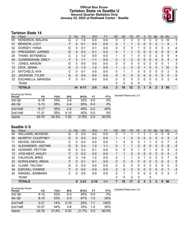### **Official Box Score Tarleton State vs Seattle U Second Quarter Statistics Only January 22, 2022 at Redhawk Center - Seattle**



### **Tarleton State 14**

| No. | Player                    | S | Pts           | <b>FG</b> | 3FG     | <b>FT</b> | <b>OR</b>      | <b>DR</b>     | <b>TR</b> | PF | A            | TO       | <b>Blk</b>   | <b>Stl</b>   | Min            | $+/-$          |
|-----|---------------------------|---|---------------|-----------|---------|-----------|----------------|---------------|-----------|----|--------------|----------|--------------|--------------|----------------|----------------|
| 00  | <b>KENDRICK, MALAYA</b>   | G | 2             | 1-4       | $0 - 0$ | $0-0$     | 0              | 3             | 3         | 0  | 0            | 0        | 0            | 0            | 10             | 5              |
| 01  | <b>BENSON, LUCY</b>       | F | $\Omega$      | $0 - 1$   | $0 - 0$ | $0 - 0$   | $\mathbf{0}$   |               | 1         | 2  | $\Omega$     | $\Omega$ | 0            |              | 6              | 1              |
| 02  | DORSEY, IYANA             | G | 0             | $0 - 1$   | $0 - 1$ | $0 - 0$   | 0              | 0             | 0         |    | 0            | 0        | 0            | 0            | 3              | -4             |
| 23  | PRESIDENT, JURNEE         | G | 4             | $2 - 3$   | $0 - 1$ | $0 - 2$   | $\Omega$       |               | 1         | 0  | $\Omega$     | $\Omega$ | 0            | 0            | 6              | 6              |
| 25  | THIAM, SEYNABOU           | C | $\mathcal{P}$ | $1 - 2$   | $0 - 0$ | $0 - 0$   | 1              | $\Omega$      | 1         | 0  | $\Omega$     | 0        | 2            | $\Omega$     | 6              | 4              |
| 04  | <b>CUNNINGHAM, EMILY</b>  | F | 3             | $1 - 1$   | $1 - 1$ | $0 - 0$   | $\mathbf{0}$   | 2             | 2         | 0  | $\mathbf{0}$ | 0        | 0            | $\mathbf{0}$ | 4              | $\overline{4}$ |
| 11  | <b>JONES, MASON</b>       | G | 0             | $0 - 0$   | $0 - 0$ | $0 - 0$   | $\Omega$       | 0             | 0         | 0  | 0            | 0        | 0            | $\Omega$     | 1              | 3              |
| 12  | DICK, JENNA               | G | 3             | $1 - 3$   | $1 - 2$ | $0 - 0$   | 1              | $\mathcal{P}$ | 3         | 0  |              | $\Omega$ | 0            |              | 10             | 5              |
| 21  | MITCHELS, NYA             | C | $\Omega$      | $0 - 1$   | $0 - 0$ | $0 - 0$   | 0              |               | 1         | 0  | 0            | 0        | 0            | 0            | $\overline{2}$ | 5              |
| 22  | <b>JACKSON, TYLER</b>     | G | 0             | $0 - 0$   | $0 - 0$ | $0 - 0$   | $\Omega$       | 0             | 0         | 0  | $\Omega$     | $\Omega$ | 0            | $\Omega$     | $\Omega$       | 0              |
| 33  | <b>ESCAMILLA, MARISSA</b> | F | 0             | $0 - 1$   | $0-0$   | $0 - 0$   | $\Omega$       | 0             | 0         | 0  | $\Omega$     | 0        | 0            | 0            | 2              | $-4$           |
|     | <b>TEAM</b>               |   |               |           |         |           | $\Omega$       | 0             | 0         | 0  |              | 0        |              |              |                |                |
|     | <b>TOTALS</b>             |   | 14            | $6 - 17$  | $2 - 5$ | $0 - 2$   | $\overline{2}$ | 10            | 12        | 3  |              | 0        | $\mathbf{2}$ |              | 50             |                |

| <b>Shooting By Period</b><br>Period | FG        | FG%   | 3FG      | 3FG%  | FT      | FT%   | Deadball Rebounds: 2,0 |
|-------------------------------------|-----------|-------|----------|-------|---------|-------|------------------------|
| 3rd Qtr                             | $6 - 18$  | 33%   | $2-6$    | 33%   | $0 - 0$ | 0%    |                        |
| 4th Qtr                             | $5 - 13$  | 38%   | $2 - 4$  | 50%   | $0 - 0$ | 0%    |                        |
| 2nd Half                            | $6 - 17$  | 35%   | $2 - 5$  | 40%   | $0 - 2$ | 00%   |                        |
| 2nd Half                            | $11 - 31$ | 35%   | $4 - 10$ | 40%   | $0 - 0$ | 0%    |                        |
| Game                                | 24.70     | 34.3% | 7-22     | 31.8% | $2 - 5$ | 40.0% |                        |

### **Seattle U 9**

| No. | Plaver                   | S  | Pts      | <b>FG</b> | 3FG      | <b>FT</b> | 0R             | <b>DR</b> | <b>TR</b>      | <b>PF</b>   | A            | TO       | <b>Blk</b> | Stl          | Min      | $+/-$          |
|-----|--------------------------|----|----------|-----------|----------|-----------|----------------|-----------|----------------|-------------|--------------|----------|------------|--------------|----------|----------------|
| 04  | <b>WILLIAMS, MCKENZI</b> | G  | $\Omega$ | $0-0$     | $0 - 0$  | $0 - 0$   | 0              |           |                |             |              |          | 0          | 0            | 8        | $-1$           |
| 05  | MURPHY, COURTNEY         | G  | 0        | $0 - 2$   | $0 - 2$  | $0 - 0$   |                |           | $\overline{2}$ | 0           | 0            | $\Omega$ | 0          | $\mathbf{0}$ | 5        | $-3$           |
| 11  | <b>KEHOE, GEORGIA</b>    | С  | $\Omega$ | $0 - 3$   | $0 - 0$  | $0 - 0$   | 1              | 4         | 5              | 0           |              |          | 3          | 0            |          | 2              |
| 15  | ALEXANDER, JADYNN        | G  | 6        | $2 - 4$   | $1 - 2$  | $1 - 1$   | 0              |           | 1              | 0           | $\mathbf{0}$ | $\Omega$ | 0          | $\mathbf{0}$ | 8        | $-3$           |
| 20  | HOWARD, PEYTON           | G  | 0        | $0 - 3$   | $0 - 1$  | $0-0$     | 0              | 0         | 0              |             | 0            |          | 0          | $\Omega$     | 5        | -3             |
| 13  | <b>VICE-NEAT, HAILEY</b> | F  | $\Omega$ | $0 - 2$   | $0 - 2$  | $0 - 0$   |                |           | $\overline{2}$ | 0           | $\Omega$     | $\Omega$ | 0          | $\Omega$     | 4        | $-1$           |
| 22  | <b>CALHOUN, BREE</b>     | G  | 3        | 1-4       | $1 - 2$  | $0 - 0$   | 0              | 1         | 1.             | 0           |              | $\Omega$ | 0          | $\Omega$     |          | -6             |
| 23  | KOROLENKO, IRENA         | F. | 0        | $0 - 1$   | $0 - 1$  | $0 - 0$   | $\Omega$       | 0         | $\Omega$       | 0           | 0            | $\Omega$ | $\Omega$   | $\Omega$     | 2        | $\overline{0}$ |
| 24  | <b>CLARK, TALIYAH</b>    | G  | $\Omega$ | $0 - 0$   | $0 - 0$  | $0 - 0$   | 0              | 0         | 0              | 0           | 0            | ∩        | 0          | 0            | $\Omega$ | 0              |
| 34  | EZEONU, CHINWE           | F. | $\Omega$ | $0 - 2$   | $0 - 0$  | $0 - 0$   | $\overline{2}$ | 0         | $\overline{2}$ | 0           | $\Omega$     | $\Omega$ | 0          | $\Omega$     |          | $-3$           |
| 42  | RANGEL, BARBARA          | C  | U        | $0 - 0$   | $0 - 0$  | $0 - 0$   | 0              | 1         | 1              | 0           | 0            | $\Omega$ | 0          | 0            | 3        | -7             |
|     | TEAM                     |    |          |           |          |           | 2              | 0         | 2              | 0           |              | $\Omega$ |            |              |          |                |
|     | <b>TOTALS</b>            |    | 9        | $3 - 21$  | $2 - 10$ | $1 - 1$   |                | 10        | 17             | $\mathbf 2$ | 3            | 3        | 3          | $\mathbf{0}$ | 50       |                |

| <b>Shooting By Period</b> |           |       |          |        |         |       | Dea |
|---------------------------|-----------|-------|----------|--------|---------|-------|-----|
| Period                    | FG        | FG%   | 3FG      | 3FG%   | FT      | FT%   |     |
| 3rd Qtr                   | 4-12      | 33%   | $0 - 3$  | $00\%$ | $0 - 0$ | $0\%$ |     |
| 4th Qtr                   | $8 - 15$  | 53%   | $2 - 3$  | 67%    | $1 - 2$ | 50%   |     |
| 2nd Half                  | $3 - 21$  | 14%   | $2 - 10$ | 20%    | 1-1     | 100%  |     |
| 2nd Half                  | $12 - 27$ | 44%   | $2-6$    | 33%    | $1 - 2$ | 50%   |     |
| Game                      | 24 76     | 31.6% | $5-23$   | 21.7%  | $3 - 5$ | 60.0% |     |

*Deadball Rebounds:* 3,0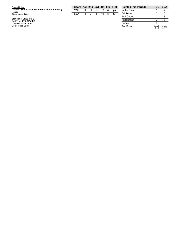| Game Notes:                                         |  |
|-----------------------------------------------------|--|
| Officials: Robert Scofield, Teresa Turner, Kimberly |  |
| <b>Hobbs</b>                                        |  |
| Attendance: 240                                     |  |

Start Time: 05:02 PM ET<br>End Time: 07:02 PM ET<br>Game Duration: 2:00<br>Conference Game;

| Score 1st 2nd 3rd 4th 5th TOT |             |  |      |
|-------------------------------|-------------|--|------|
| TSU 11 14 14 12 6 57          |             |  |      |
| SFA                           | 15 9 8 19 5 |  | - 56 |

| <b>Points (This Period)</b> | TSU           | SFA           |
|-----------------------------|---------------|---------------|
| In the Paint                | 8             |               |
| Off Turns                   | O             |               |
| 2nd Chance                  | 2             | 3             |
| <b>Fast Break</b>           | 2             | ર             |
| Bench                       | հ             | ঽ             |
| Per Poss                    | 0.875<br>6/16 | 0.529<br>4/17 |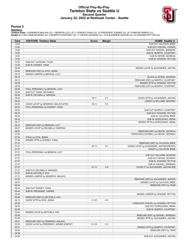### **Official Play-By-Play Tarleton State vs Seattle U Second Quarter January 22, 2022 at Redhawk Center - Seattle**



### **Period 2**

#### **Starters:**

**Tarleton State**: 0 KENDRICK,MALAYA (G); 1 BENSON,LUCY (F); 2 DORSEY,IYANA (G); 23 PRESIDENT,JURNEE (G); 25 THIAM,SEYNABOU (C);<br>**Seattie U**: 4 WILLIAMS,MCKENZI (G); 5 MURPHY,COURTNEY (G); 11 KEHOE,GEORGIA (C); 15 ALEXANDER

| Time           | <b>VISITORS: Tarleton State</b>           | <b>Score</b> | <b>Margin</b>  | <b>HOME: Seattle U</b>                    |
|----------------|-------------------------------------------|--------------|----------------|-------------------------------------------|
| 10:00          |                                           |              |                | SUB OUT: CALHOUN, BREE                    |
| 10:00          |                                           |              |                | SUB OUT: EZEONU, CHINWE                   |
| 10:00          |                                           |              |                | SUB OUT: RANGEL, BARBARA                  |
| 10:00          |                                           |              |                | SUB IN: MURPHY, COURTNEY                  |
| 10:00          |                                           |              |                | SUB IN: KEHOE, GEORGIA                    |
| 10:00          |                                           |              |                | SUB IN: HOWARD, PEYTON                    |
| 10:00          | SUB OUT: JACKSON, TYLER                   |              |                |                                           |
| 10:00          | SUB IN: DORSEY, IYANA                     |              |                |                                           |
| 09:48          |                                           |              |                | MISSED LAYUP by ALEXANDER, JADYNN         |
| 09:44          | REBOUND (DEF) by DICK, JENNA              |              |                |                                           |
| 09:19          | MISSED JUMPER by BENSON, LUCY             |              |                |                                           |
| 09:19          |                                           |              |                | BLOCK by KEHOE, GEORGIA                   |
| 09:13          |                                           |              |                | REBOUND (DEF) by MURPHY, COURTNEY         |
| 09:09<br>09:05 |                                           |              |                | MISSED 3PTR by HOWARD, PEYTON             |
| 08:58          | FOUL (PERSONAL) by BENSON, LUCY           |              |                | REBOUND (OFF) by MURPHY, COURTNEY         |
| 08:58          | SUB OUT: THIAM, SEYNABOU                  |              |                |                                           |
| 08:58          | SUB IN: ESCAMILLA, MARISSA                |              |                |                                           |
| 08:50          |                                           | $18 - 11$    | H <sub>7</sub> | GOOD! 3PTR by ALEXANDER, JADYNN           |
| 08:50          |                                           |              |                | ASSIST by WILLIAMS, MCKENZI               |
| 08:28          | GOOD! LAYUP by KENDRICK, MALAYA [PNT]     | 18-13        | H <sub>5</sub> |                                           |
| 08:24          | FOUL (PERSONAL) by DORSEY, IYANA          |              |                |                                           |
| 08:24          |                                           |              |                | SUB OUT: MURPHY, COURTNEY                 |
| 08:24          |                                           |              |                | SUB OUT: HOWARD, PEYTON                   |
| 08:24          |                                           |              |                | SUB IN: CALHOUN, BREE                     |
| 08:24          |                                           |              |                | SUB IN: KOROLENKO, IRENA                  |
| 08:17          |                                           |              |                | MISSED 3PTR by KOROLENKO, IRENA           |
| 08:12          | REBOUND (DEF) by BENSON, LUCY             |              |                |                                           |
| 08:07          | MISSED LAYUP by ESCAMILLA, MARISSA        |              |                |                                           |
| 08:04          |                                           |              |                | REBOUND (DEF) by KEHOE, GEORGIA           |
| 07:54          |                                           |              |                | TURNOVER (LOSTBALL) by KEHOE, GEORGIA     |
| 07:54          | STEAL by DICK, JENNA                      |              |                |                                           |
| 07:36          | MISSED 3PTR by DORSEY, IYANA              |              |                |                                           |
| 07:31          |                                           |              |                | REBOUND (DEF) by CALHOUN, BREE            |
| 07:27          |                                           | $20-13$      | H 7            | GOOD! LAYUP by ALEXANDER, JADYNN [FB/PNT] |
| 07:27          |                                           |              |                | <b>ASSIST by CALHOUN, BREE</b>            |
| 07:27          | FOUL (PERSONAL) by BENSON, LUCY           |              |                |                                           |
| 07:27          |                                           |              |                | SUB OUT: WILLIAMS, MCKENZI                |
| 07:27          |                                           |              |                | SUB OUT: KEHOE, GEORGIA                   |
| 07:27          |                                           |              |                | SUB IN: HOWARD, PEYTON                    |
| 07:27          |                                           |              |                | SUB IN: RANGEL, BARBARA                   |
| 07:27          |                                           | $21 - 13$    | H <sub>8</sub> | GOOD! FT by ALEXANDER, JADYNN [FB]        |
| 07:27          | SUB OUT: ESCAMILLA, MARISSA               |              |                |                                           |
| 07:27          | SUB IN: MITCHELS, NYA                     |              |                |                                           |
| 07:10          | MISSED JUMPER by KENDRICK, MALAYA         |              |                |                                           |
| 07:05          |                                           |              |                | REBOUND (DEF) by ALEXANDER, JADYNN        |
| 06:47          |                                           |              |                | MISSED LAYUP by CALHOUN, BREE             |
| 06:44          |                                           |              |                | REBOUND (OFF) by TEAM                     |
| 06:44          | SUB OUT: DORSEY, IYANA                    |              |                |                                           |
| 06:44          | SUB IN: PRESIDENT, JURNEE                 |              |                |                                           |
| 06:40          |                                           |              |                | MISSED JUMPER by HOWARD, PEYTON           |
| 06:36          | REBOUND (DEF) by MITCHELS, NYA            |              |                |                                           |
| 06:15          | GOOD! 3PTR by DICK, JENNA                 | $21 - 16$    | H <sub>5</sub> |                                           |
| 05:59          |                                           |              |                | TURNOVER (TRAVEL) by HOWARD, PEYTON       |
| 05:59          |                                           |              |                | SUB OUT: KOROLENKO, IRENA                 |
| 05:59          |                                           |              |                | SUB IN: MURPHY, COURTNEY                  |
| 05:42          | MISSED LAYUP by MITCHELS, NYA             |              |                |                                           |
| 05:38          |                                           |              |                | REBOUND (DEF) by RANGEL, BARBARA          |
| 05:35          |                                           |              |                | MISSED 3PTR by ALEXANDER, JADYNN          |
| 05:31          | REBOUND (DEF) by KENDRICK, MALAYA         |              |                |                                           |
| 05:25          | GOOD! LAYUP by PRESIDENT, JURNEE [FB/PNT] | $21 - 18$    | H <sub>3</sub> |                                           |
| 05:01          |                                           |              |                | MISSED 3PTR by MURPHY, COURTNEY           |
| 04:58          |                                           |              |                | REBOUND (OFF) by TEAM                     |
| 04:58          |                                           |              |                |                                           |
| 04:58          |                                           |              |                | SUB OUT: ALEXANDER, JADYNN                |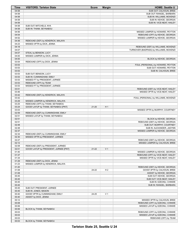| Time           | <b>VISITORS: Tarleton State</b>        | <b>Score</b> | <b>Margin</b>  | <b>HOME: Seattle U</b>                  |
|----------------|----------------------------------------|--------------|----------------|-----------------------------------------|
| 04:58          |                                        |              |                | SUB OUT: CALHOUN, BREE                  |
| 04:58          |                                        |              |                | SUB OUT: RANGEL, BARBARA                |
| 04:58          |                                        |              |                | SUB IN: WILLIAMS, MCKENZI               |
| 04:58          |                                        |              |                | SUB IN: KEHOE, GEORGIA                  |
| 04:58          |                                        |              |                | SUB IN: VICE-NEAT, HAILEY               |
| 04:58          | SUB OUT: MITCHELS, NYA                 |              |                |                                         |
| 04:58          | SUB IN: THIAM, SEYNABOU                |              |                |                                         |
| 04:56          |                                        |              |                | MISSED JUMPER by HOWARD, PEYTON         |
| 04:54          |                                        |              |                | REBOUND (OFF) by KEHOE, GEORGIA         |
| 04:52<br>04:48 | REBOUND (DEF) by KENDRICK, MALAYA      |              |                | MISSED JUMPER by KEHOE, GEORGIA         |
| 04:23          | MISSED 3PTR by DICK, JENNA             |              |                |                                         |
| 04:18          |                                        |              |                | REBOUND (DEF) by WILLIAMS, MCKENZI      |
| 04:07          |                                        |              |                | TURNOVER (BADPASS) by WILLIAMS, MCKENZI |
| 04:07          | STEAL by BENSON, LUCY                  |              |                |                                         |
| 04:00          | MISSED JUMPER by DICK, JENNA           |              |                |                                         |
| 04:00          |                                        |              |                | BLOCK by KEHOE, GEORGIA                 |
| 03:54          | REBOUND (OFF) by DICK, JENNA           |              |                |                                         |
| 03:53          |                                        |              |                | FOUL (PERSONAL) by HOWARD, PEYTON       |
| 03:53          |                                        |              |                | SUB OUT: HOWARD, PEYTON                 |
| 03:53          |                                        |              |                | SUB IN: CALHOUN, BREE                   |
| 03:53          | SUB OUT: BENSON, LUCY                  |              |                |                                         |
| 03:53          | SUB IN: CUNNINGHAM, EMILY              |              |                |                                         |
| 03:53          | MISSED FT by PRESIDENT, JURNEE         |              |                |                                         |
| 03:53          | REBOUND (OFF) by TEAM                  |              |                |                                         |
| 03:53          | MISSED FT by PRESIDENT, JURNEE         |              |                |                                         |
| 03:51          |                                        |              |                | REBOUND (DEF) by VICE-NEAT, HAILEY      |
| 03:46          |                                        |              |                | MISSED 3PTR by VICE-NEAT, HAILEY        |
| 03:42<br>03:42 | REBOUND (DEF) by KENDRICK, MALAYA      |              |                |                                         |
| 03:29          | MISSED JUMPER by KENDRICK, MALAYA      |              |                | FOUL (PERSONAL) by WILLIAMS, MCKENZI    |
| 03:25          | REBOUND (OFF) by THIAM, SEYNABOU       |              |                |                                         |
| 03:24          | GOOD! LAYUP by THIAM, SEYNABOU [PNT]   | $21 - 20$    | H <sub>1</sub> |                                         |
| 03:03          |                                        |              |                | MISSED 3PTR by MURPHY, COURTNEY         |
| 02:59          | REBOUND (DEF) by CUNNINGHAM, EMILY     |              |                |                                         |
| 02:51          | MISSED LAYUP by THIAM, SEYNABOU        |              |                |                                         |
| 02:51          |                                        |              |                | BLOCK by KEHOE, GEORGIA                 |
| 02:51          |                                        |              |                | REBOUND (DEF) by KEHOE, GEORGIA         |
| 02:48          |                                        |              |                | SUB OUT: MURPHY, COURTNEY               |
| 02:48          |                                        |              |                | SUB IN: ALEXANDER, JADYNN               |
| 02:37          |                                        |              |                | MISSED JUMPER by KEHOE, GEORGIA         |
| 02:34          | REBOUND (DEF) by CUNNINGHAM, EMILY     |              |                |                                         |
| 02:30          | MISSED 3PTR by PRESIDENT, JURNEE       |              |                |                                         |
| 02:27          |                                        |              |                | REBOUND (DEF) by KEHOE, GEORGIA         |
| 02:12          |                                        |              |                | MISSED JUMPER by CALHOUN, BREE          |
| 02:08          | REBOUND (DEF) by PRESIDENT, JURNEE     |              |                |                                         |
| 02:01<br>01:40 | GOOD! LAYUP by PRESIDENT, JURNEE [PNT] | $21 - 22$    | V <sub>1</sub> | MISSED JUMPER by KEHOE, GEORGIA         |
| 01:37          |                                        |              |                | REBOUND (OFF) by VICE-NEAT, HAILEY      |
| 01:34          |                                        |              |                | MISSED 3PTR by VICE-NEAT, HAILEY        |
| 01:29          | REBOUND (DEF) by DICK, JENNA           |              |                |                                         |
| 01:23          | MISSED JUMPER by KENDRICK, MALAYA      |              |                |                                         |
| 01:20          |                                        |              |                | REBOUND (DEF) by KEHOE, GEORGIA         |
| 01:08          |                                        | 24-22        | H <sub>2</sub> | GOOD! 3PTR by CALHOUN, BREE             |
| 01:08          |                                        |              |                | ASSIST by KEHOE, GEORGIA                |
| 00:45          |                                        |              |                | SUB OUT: KEHOE, GEORGIA                 |
| 00:45          |                                        |              |                | SUB OUT: VICE-NEAT, HAILEY              |
| 00:45          |                                        |              |                | SUB IN: EZEONU, CHINWE                  |
| 00:45          |                                        |              |                | SUB IN: RANGEL, BARBARA                 |
| 00:45          | SUB OUT: PRESIDENT, JURNEE             |              |                |                                         |
| 00:45          | SUB IN: JONES, MASON                   |              |                |                                         |
| 00:40          | GOOD! 3PTR by CUNNINGHAM, EMILY        | 24-25        | V <sub>1</sub> |                                         |
| 00:40          | ASSIST by DICK, JENNA                  |              |                |                                         |
| 00:12          |                                        |              |                | MISSED 3PTR by CALHOUN, BREE            |
| 00:08          |                                        |              |                | REBOUND (OFF) by EZEONU, CHINWE         |
| 00:06          |                                        |              |                | MISSED LAYUP by EZEONU, CHINWE          |
| 00:06          | BLOCK by THIAM, SEYNABOU               |              |                |                                         |
| 00:03          |                                        |              |                | REBOUND (OFF) by EZEONU, CHINWE         |
| 00:03          |                                        |              |                | MISSED LAYUP by EZEONU, CHINWE          |
| 00:03<br>00:03 | BLOCK by THIAM, SEYNABOU               |              |                | REBOUND (OFF) by TEAM                   |
|                |                                        |              |                |                                         |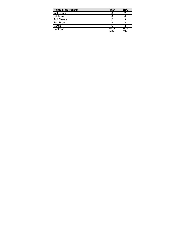| <b>Points (This Period)</b> | TSU           | <b>SEA</b>    |
|-----------------------------|---------------|---------------|
| In the Paint                |               |               |
| Off Turns                   |               |               |
| 2nd Chance                  |               |               |
| <b>Fast Break</b>           |               |               |
| Bench                       |               |               |
| Per Poss                    | 0.875<br>6/16 | 0.529<br>4/17 |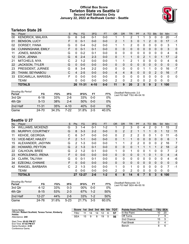### **Official Box Score Tarleton State vs Seattle U Second Half Statistics Only January 22, 2022 at Redhawk Center - Seattle**



### **Tarleton State 26**

| No.               | Plaver                    | S | <b>Pts</b> | <b>FG</b> | 3FG      | <b>FT</b> | <b>OR</b>      | <b>DR</b> | TR             | <b>PF</b> | A | TO       | <b>B</b> lk | Stl         | <b>Min</b> | $+/-$ |
|-------------------|---------------------------|---|------------|-----------|----------|-----------|----------------|-----------|----------------|-----------|---|----------|-------------|-------------|------------|-------|
| 00                | <b>KENDRICK, MALAYA</b>   | G | 6          | $3 - 8$   | $0 - 1$  | $0-0$     |                | ٠         | 2              |           |   | 3        | 0           | 0           | 20         | $-1$  |
| 01                | <b>BENSON, LUCY</b>       | F | 0          | $0 - 1$   | $0 - 0$  | $0 - 0$   | $\overline{2}$ | 1         | 3              | $\Omega$  |   | 2        | $\Omega$    | 0           | 17         | $-1$  |
| 02                | DORSEY, IYANA             | G | $\Omega$   | $0 - 4$   | $0 - 2$  | $0 - 0$   |                |           | 2              | 0         | 0 | 0        | 0           | 0           | 3          | 1     |
| 04                | <b>CUNNINGHAM, EMILY</b>  | F | $\Omega$   | $0 - 1$   | $0 - 1$  | $0 - 0$   | 0              | 0         | $\mathbf{0}$   | $\Omega$  | 0 | $\Omega$ | 0           | $\Omega$    | 3          | 0     |
| 11                | JONES, MASON              | G | 0          | $0 - 2$   | $0 - 1$  | $0-0$     | 0              | 0         | $\mathbf{0}$   | $\Omega$  | 0 | 0        | 0           | $\mathbf 0$ | 4          | 6     |
| $12 \overline{ }$ | DICK, JENNA               | G | 6          | $2 - 4$   | $2 - 3$  | $0 - 0$   | 0              | 1         | 1              | $\Omega$  | 2 |          | 0           | 1           | 17         | $-2$  |
| 21                | MITCHELS, NYA             | С | 2          | $1 - 2$   | $0 - 0$  | $0 - 0$   | 1              | 1         | 2              |           | 0 | 0        | 0           | 0           | 4          | 6     |
| 22                | <b>JACKSON, TYLER</b>     | G | $\Omega$   | $0 - 0$   | $0 - 0$  | $0 - 0$   | 0              | $\Omega$  | $\Omega$       | 0         | 0 | $\Omega$ | $\Omega$    | $\Omega$    | $\Omega$   | 0     |
| 23                | PRESIDENT, JURNEE         | G | 8          | $3 - 4$   | $2 - 2$  | $0 - 0$   | 0              | 0         | 0              | 0         |   |          | 0           | 0           | 16         | -7    |
| 25                | THIAM, SEYNABOU           | С | 4          | $2 - 5$   | $0 - 0$  | $0 - 0$   | 4              | 4         | 8              | $\Omega$  | 0 | 0        | 2           | $\Omega$    | 16         | $-7$  |
| 33                | <b>ESCAMILLA, MARISSA</b> | F | $\Omega$   | $0 - 0$   | $0 - 0$  | $0 - 0$   | 0              | $\Omega$  | 0              | $\Omega$  | 0 | $\Omega$ | 0           | 0           | 0          | 0     |
|                   | TEAM                      |   | 0          | $0 - 0$   | $0 - 0$  | $0 - 0$   | 2              | 0         | $\overline{2}$ | $\Omega$  | 0 | 2        | $\Omega$    | 0           | 0          |       |
|                   | <b>TOTALS</b>             |   | 26         | $11 - 31$ | $4 - 10$ | $0 - 0$   | 11             | 9         | 20             | 2         | 5 | 9        | 2           | 1           | 100        |       |

| <b>Shooting By Period</b><br>Period | FG        | FG%   | 3FG      | 3FG%  | FT      | FT%   | Deac<br>Last |
|-------------------------------------|-----------|-------|----------|-------|---------|-------|--------------|
| 3rd Qtr                             | 6-18      | 33%   | $2-6$    | 33%   | $0 - 0$ | 0%    |              |
| 4th Qtr                             | $5 - 13$  | 38%   | $2 - 4$  | 50%   | $0 - 0$ | $0\%$ |              |
| 2nd Half                            | $11 - 31$ | 35%   | $4 - 10$ | 40%   | $0 - 0$ | 0%    |              |
| Game                                | 24-70     | 34.3% | 7.22     | 31.8% | $2 - 5$ | 40.0% |              |

*Deadball Rebounds:* 2,0 *Last FG Half:* TSU 4th-04:18

### **Seattle U 27**

| No. | Player                   | S | <b>Pts</b>    | <b>FG</b> | 3FG     | <b>FT</b> | <b>OR</b> | DR       | TR           | PF            | A        | TO | <b>Blk</b>   | Stl      | Min      | $+/-$          |
|-----|--------------------------|---|---------------|-----------|---------|-----------|-----------|----------|--------------|---------------|----------|----|--------------|----------|----------|----------------|
| 04  | WILLIAMS, MCKENZI        | G | 3             | $1 - 4$   | $0 - 1$ | $1 - 2$   |           | 2        | 3            | 0             | 4        | 2  | 0            |          | 15       | $\overline{2}$ |
| 05  | MURPHY, COURTNEY         | G | 8             | $3 - 3$   | $2 - 2$ | $0 - 0$   | 0         | 2        | 2            |               |          |    | 0            |          | 12       | 11             |
| 11  | <b>KEHOE, GEORGIA</b>    | С | 6             | $3 - 7$   | $0 - 0$ | $0 - 0$   | 0         | 2        | 2            | $\mathcal{P}$ | 0        | 0  |              | 0        | 11       | -5             |
| 13  | <b>VICE-NEAT, HAILEY</b> | F | 2             | $1 - 1$   | $0 - 0$ | $0 - 0$   | 0         |          |              | 0             | 0        | 0  | $\mathbf{0}$ | $\Omega$ | 6        | 1              |
| 15  | ALEXANDER, JADYNN        | G | 2             | 1-3       | $0 - 0$ | $0 - 0$   | 1         |          | 2            | 2             | 0        | 0  | 0            | 2        | 16       | 7              |
| 20  | HOWARD, PEYTON           | G | $\mathcal{P}$ | $1 - 3$   | $0 - 1$ | $0 - 0$   | 0         | 0        | 0            |               | 1        |    |              | 2        | 18       | $-2$           |
| 22  | <b>CALHOUN, BREE</b>     | G | 2             | $1 - 2$   | $0 - 1$ | $0 - 0$   | 1         | 0        |              | 0             | 0        |    | 0            | 0        |          | 2              |
| 23  | KOROLENKO, IRENA         | F | 0             | $0 - 0$   | $0 - 0$ | $0 - 0$   | 0         | 0        | $\mathbf{0}$ | 0             |          | 0  |              | 0        | 4        | $-4$           |
| 24  | <b>CLARK, TALIYAH</b>    | G | 0             | $0 - 1$   | $0 - 1$ | $0 - 0$   | 0         | 0        | $\Omega$     | 0             | 0        | O  | 0            | 0        | 4        | -6             |
| 34  | EZEONU, CHINWE           | F | 0             | $0 - 0$   | $0 - 0$ | $0 - 0$   | 0         | $\Omega$ | $\Omega$     | 0             | $\Omega$ | 0  | $\Omega$     | $\Omega$ | $\Omega$ | $\Omega$       |
| 42  | RANGEL, BARBARA          | С | 2             | $1 - 3$   | $0 - 0$ | $0 - 0$   | 1         | 0        | 1            | 0             | $\Omega$ | 0  | $\Omega$     | 0        | 7        | $-1$           |
|     | <b>TEAM</b>              |   | 0             | $0 - 0$   | $0 - 0$ | $0 - 0$   | 2         | $\Omega$ | 2            | 0             | 0        | 0  | $\Omega$     | 0        | 0        |                |
|     | <b>TOTALS</b>            |   | 27            | $12 - 27$ | $2 - 6$ | $1 - 2$   | 6         | 8        | 14           | 6             | 7        | 5  | 3            | 6        | 100      |                |

**Score 1st 2nd 3rd 4th 5th TOT** TSU 11 14 14 12 6 **57** SEA 15 9 8 19 5 **56**

| <b>Shooting By Period</b><br>Period | FG        | FG%   | 3FG     | 3FG%  | FT    | FT%   | Deadball Rebounds: 3,0<br>Last FG Half: SEA 4th-00:18 |
|-------------------------------------|-----------|-------|---------|-------|-------|-------|-------------------------------------------------------|
| 3rd Qtr                             | $4 - 12$  | 33%   | $0 - 3$ | 00%   | 0-0   | $0\%$ |                                                       |
| 4th Qtr                             | $8 - 15$  | 53%   | $2-3$   | 67%   | $1-2$ | 50%   |                                                       |
| 2nd Half                            | $12 - 27$ | 44%   | $2 - 6$ | 33%   | $1-2$ | 50%   |                                                       |
| Game                                | 24-76     | 31.6% | $5-23$  | 21 7% | $3-5$ | 60.0% |                                                       |

| <b>Points from (This Period)</b> | TSU SEA |    |
|----------------------------------|---------|----|
| In the Paint                     | 10      | 20 |
| Off Turns                        |         |    |
| 2nd Chance                       | 15      | 5  |
| <b>Fast Break</b>                | O       |    |
| Bench                            | я       | ค  |

Start Time: **05:02 PM ET** End Time: **07:02 PM ET** Game Duration: **2:00** Conference Game;

**Hobbs** Attendance: **240**

Game Notes: Officials: **Robert Scofield, Teresa Turner, Kimberly**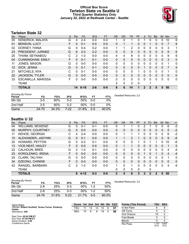### **Official Box Score Tarleton State vs Seattle U Third Quarter Statistics Only January 22, 2022 at Redhawk Center - Seattle**



### **Tarleton State 32**

| No. | Plaver                   | S | <b>Pts</b>     | <b>FG</b> | 3FG     | <b>FT</b> | <b>OR</b> | <b>DR</b>    | TR       | PF       | A            | TO | <b>B</b> lk | <b>Stl</b>   | Min          | $+/-$ |
|-----|--------------------------|---|----------------|-----------|---------|-----------|-----------|--------------|----------|----------|--------------|----|-------------|--------------|--------------|-------|
| 00  | <b>KENDRICK, MALAYA</b>  | G | 4              | $2 - 4$   | $0 - 0$ | $0 - 0$   |           | 0            |          | 0        |              | 0  | 0           | 0            | 10           | 6     |
| 01  | <b>BENSON, LUCY</b>      | F | 0              | $0 - 1$   | $0 - 0$ | $0 - 0$   | 0         |              | 1        | 0        | $\Omega$     |    | 0           | $\mathbf{0}$ | 7            | 6     |
| 02  | DORSEY, IYANA            | G | 0              | $0 - 4$   | $0 - 2$ | $0 - 0$   |           |              | 2        | 0        | 0            | 0  | 0           | 0            | 3            | 1     |
| 23  | PRESIDENT, JURNEE        | G | 8              | $3 - 3$   | $2 - 2$ | $0 - 0$   | $\Omega$  | 0            | 0        | $\Omega$ | $\Omega$     | 0  | $\Omega$    | $\Omega$     | 9            | 6     |
| 25  | THIAM, SEYNABOU          | C | $\overline{2}$ | 1-3       | $0 - 0$ | $0 - 0$   | 4         | 4            | 8        | 0        | $\Omega$     | 0  | 0           | $\Omega$     | 9            | 6     |
| 04  | <b>CUNNINGHAM, EMILY</b> | F | 0              | $0 - 1$   | $0 - 1$ | $0 - 0$   | 0         | 0            | 0        | 0        | $\Omega$     | 0  | 0           | $\mathbf{0}$ | 3            | 0     |
| 11  | JONES, MASON             | G | 0              | $0 - 0$   | $0 - 0$ | $0 - 0$   | $\Omega$  | 0            | 0        | 0        | $\Omega$     | 0  | 0           | $\Omega$     | 1            | 0     |
| 12  | DICK, JENNA              | G | $\Omega$       | $0 - 1$   | $0 - 1$ | $0 - 0$   | $\Omega$  | $\Omega$     | $\Omega$ | $\Omega$ |              | 0  | $\Omega$    | $\Omega$     | 7            | 5     |
| 21  | MITCHELS, NYA            | C | 0              | $0 - 1$   | $0 - 0$ | $0 - 0$   | 0         | $\Omega$     | 0        |          | $\Omega$     | 0  | 0           | $\Omega$     | 1            | 0     |
| 22  | <b>JACKSON, TYLER</b>    | G | 0              | $0 - 0$   | $0 - 0$ | $0 - 0$   | $\Omega$  | $\mathbf{0}$ | 0        | 0        | $\Omega$     | 0  | 0           | $\Omega$     | $\mathbf{0}$ | 0     |
| 33  | ESCAMILLA, MARISSA       | F | 0              | $0 - 0$   | $0-0$   | $0 - 0$   | 0         | 0            | 0        | 0        | $\Omega$     | 0  | 0           | 0            | $\Omega$     | 0     |
|     | TEAM                     |   |                |           |         |           | 2         | 0            | 2        | $\Omega$ |              |    |             |              |              |       |
|     | <b>TOTALS</b>            |   | 14             | $6 - 18$  | $2 - 6$ | $0 - 0$   | 8         | 6            | 14       |          | $\mathbf{2}$ | 2  | 0           | 0            | 50           |       |

| <b>Shooting By Period</b><br>Period | FG      | FG%   | 3FG  | 3FG%   | FT      | FT%   | Deadball Rebounds: 2,0 |
|-------------------------------------|---------|-------|------|--------|---------|-------|------------------------|
| 5th Qtr                             | $3 - 5$ | 60%   | በ-2  | 00%    | $0-0$   | 0%    |                        |
| 2nd Half                            | $3 - 5$ | 60%   | 0-2  | $00\%$ | 0-0     | 0%    |                        |
| Game                                | 24-70   | 34.3% | 7-22 | 31.8%  | $2 - 5$ | 40.0% |                        |

### **Seattle U 32**

| No. | Plaver                   | S  | Pts      | FG       | 3FG     | <b>FT</b> | 0R           | <b>DR</b> | TR             | PF       | A | TO           | <b>Blk</b> | Stl | Min      | $+/-$    |
|-----|--------------------------|----|----------|----------|---------|-----------|--------------|-----------|----------------|----------|---|--------------|------------|-----|----------|----------|
| 04  | <b>WILLIAMS, MCKENZI</b> | G  | 0        | $0 - 1$  | 0-1     | $0-0$     | 0            | 4         |                | 0        | 2 |              | 0          | 0   | 6        | $-2$     |
| 05  | MURPHY, COURTNEY         | G  | $\Omega$ | $0 - 0$  | $0 - 0$ | $0 - 0$   | 0            | 0         | 0              | 0        | 0 | 0            | $\Omega$   | 0   | 5        | $-2$     |
| 11  | <b>KEHOE, GEORGIA</b>    | С  | 4        | $2 - 4$  | $0 - 0$ | $0 - 0$   | 0            | 1         | 1              |          | 0 | 0            | 0          | 0   | 6        | $-2$     |
| 15  | ALEXANDER, JADYNN        | G  | $\Omega$ | $0 - 1$  | $0 - 0$ | $0 - 0$   | $\mathbf{1}$ | 1         | $\overline{2}$ | 1        | 0 | 0            | 0          | 0   | 9        | $-6$     |
| 20  | <b>HOWARD, PEYTON</b>    | G  | $\Omega$ | $0 - 2$  | 0-1     | $0 - 0$   | 0            | 0         | 0              |          | 0 |              |            | 0   | 10       | -6       |
| 13  | <b>VICE-NEAT, HAILEY</b> | F. | 0        | $0 - 0$  | $0 - 0$ | $0 - 0$   | $\Omega$     | 1         | 1              | 0        | 0 | 0            | $\Omega$   | 0   |          | $\Omega$ |
| 22  | CALHOUN, BREE            | G  | 2        | $1 - 2$  | $0 - 1$ | $0 - 0$   | $\Omega$     | 0         | 0              | $\Omega$ | 0 | 0            | 0          | 0   | 4        | $-4$     |
| 23  | KOROLENKO, IRENA         | F  | $\Omega$ | $0 - 0$  | $0 - 0$ | $0 - 0$   | 0            | $\Omega$  | $\Omega$       | 0        |   | 0            |            | 0   | 4        | $-4$     |
| 24  | <b>CLARK, TALIYAH</b>    | G  | $\Omega$ | $0 - 0$  | $0 - 0$ | $0-0$     | $\Omega$     | 0         | 0              | 0        | 0 | 0            | 0          | 0   | 1        | 0        |
| 34  | EZEONU, CHINWE           | F  | $\Omega$ | $0 - 0$  | $0 - 0$ | $0 - 0$   | 0            | 0         | $\Omega$       | 0        | 0 | 0            | $\Omega$   | 0   | $\Omega$ | 0        |
| 42  | RANGEL, BARBARA          | C  | 2        | $1 - 2$  | 0-0     | $0-0$     | 1            | 0         | 1              | 0        | 0 | 0            | U          | 0   | 4        | -4       |
|     | <b>TEAM</b>              |    |          |          |         |           | 0            | 0         | 0              | 0        |   | 0            |            |     |          |          |
|     | <b>TOTALS</b>            |    | 8        | $4 - 12$ | $0 - 3$ | $0-0$     | $\mathbf{2}$ | 4         | 6              | 3        | 3 | $\mathbf{2}$ | 2          | 0   | 50       |          |
|     |                          |    |          |          |         |           |              |           |                |          |   |              |            |     |          |          |

| <b>Shooting By Period</b><br>Period | FG      | FG%   | 3FG    | 3FG%   | FТ    | FT%   | Dead |
|-------------------------------------|---------|-------|--------|--------|-------|-------|------|
| 5th Qtr                             | 2-8     | 25%   | 0-3    | $00\%$ | 1-2   | 50%   |      |
| 2nd Half                            | $2 - 8$ | 25%   | 0-3    | $00\%$ | $1-2$ | 50%   |      |
| Game                                | 24 76   | 31.6% | $5-23$ | 21.7%  | $3-5$ | 60.0% |      |

*Deadball Rebounds:* 3,0

| Game Notes:                                                  | Score 1st 2nd 3rd 4th 5th TOT |    |    |    |    |   |    | <b>Points (This Period)</b> | TSU          | <b>SEA</b>    |
|--------------------------------------------------------------|-------------------------------|----|----|----|----|---|----|-----------------------------|--------------|---------------|
| Officials: Robert Scofield, Teresa Turner, Kimberly<br>Hobbs | TSU                           | 11 | 14 | 14 | 12 | 6 | 57 | In the Paint                |              |               |
| Attendance: 240                                              | SEA                           | 15 |    | 8  | 19 | 5 | 56 | Off Turns                   |              |               |
|                                                              |                               |    |    |    |    |   |    | 2nd Chance                  | 10           |               |
| Start Time: 05:02 PM ET<br>End Time: 07:02 PM ET             |                               |    |    |    |    |   |    | <b>Fast Break</b>           |              |               |
| Game Duration: 2:00                                          |                               |    |    |    |    |   |    | Bench                       |              |               |
| Conference Game:                                             |                               |    |    |    |    |   |    | Per Poss                    | .167<br>6/12 | 0.667<br>4/12 |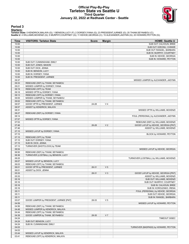### **Official Play-By-Play Tarleton State vs Seattle U Third Quarter January 22, 2022 at Redhawk Center - Seattle**



### **Period 3**

#### **Starters:**

**Tarleton State**: 0 KENDRICK,MALAYA (G); 1 BENSON,LUCY (F); 2 DORSEY,IYANA (G); 23 PRESIDENT,JURNEE (G); 25 THIAM,SEYNABOU (C);<br>**Seattie U**: 4 WILLIAMS,MCKENZI (G); 5 MURPHY,COURTNEY (G); 11 KEHOE,GEORGIA (C); 15 ALEXANDER

| Time           | <b>VISITORS: Tarleton State</b>                    | <b>Score</b> | <b>Margin</b>  | <b>HOME: Seattle U</b>                   |
|----------------|----------------------------------------------------|--------------|----------------|------------------------------------------|
| 10:00          |                                                    |              |                | SUB OUT: CALHOUN, BREE                   |
| 10:00          |                                                    |              |                | SUB OUT: EZEONU, CHINWE                  |
| 10:00          |                                                    |              |                | SUB OUT: RANGEL, BARBARA                 |
| 10:00          |                                                    |              |                | SUB IN: MURPHY, COURTNEY                 |
| 10:00          |                                                    |              |                | SUB IN: KEHOE, GEORGIA                   |
| 10:00          |                                                    |              |                | SUB IN: HOWARD, PEYTON                   |
| 10:00          | SUB OUT: CUNNINGHAM, EMILY                         |              |                |                                          |
| 10:00          | SUB OUT: JONES, MASON                              |              |                |                                          |
| 10:00<br>10:00 | SUB OUT: DICK, JENNA                               |              |                |                                          |
| 10:00          | SUB IN: BENSON, LUCY<br>SUB IN: DORSEY, IYANA      |              |                |                                          |
| 10:00          | SUB IN: PRESIDENT, JURNEE                          |              |                |                                          |
| 09:37          |                                                    |              |                | MISSED JUMPER by ALEXANDER, JADYNN       |
| 09:33          | REBOUND (DEF) by THIAM, SEYNABOU                   |              |                |                                          |
| 09:21          | MISSED JUMPER by DORSEY, IYANA                     |              |                |                                          |
| 09:19          | REBOUND (OFF) by TEAM                              |              |                |                                          |
| 09:18          | MISSED 3PTR by DORSEY, IYANA                       |              |                |                                          |
| 09:13          | REBOUND (OFF) by DORSEY, IYANA                     |              |                |                                          |
| 09:05          | MISSED JUMPER by THIAM, SEYNABOU                   |              |                |                                          |
| 09:02          | REBOUND (OFF) by THIAM, SEYNABOU                   |              |                |                                          |
| 08:57          | GOOD! 3PTR by PRESIDENT, JURNEE                    | 24-28        | V <sub>4</sub> |                                          |
| 08:57          | ASSIST by KENDRICK, MALAYA                         |              |                |                                          |
| 08:31          |                                                    |              |                | MISSED 3PTR by WILLIAMS, MCKENZI         |
| 08:27          | REBOUND (DEF) by DORSEY, IYANA                     |              |                |                                          |
| 08:14          |                                                    |              |                | FOUL (PERSONAL) by ALEXANDER, JADYNN     |
| 07:57          | MISSED 3PTR by DORSEY, IYANA                       |              |                |                                          |
| 07:53          |                                                    |              |                | REBOUND (DEF) by WILLIAMS, MCKENZI       |
| 07:46          |                                                    | 26-28        | V <sub>2</sub> | GOOD! LAYUP by KEHOE, GEORGIA [PNT]      |
| 07:46          |                                                    |              |                | ASSIST by WILLIAMS, MCKENZI              |
| 07:15          | MISSED LAYUP by DORSEY, IYANA                      |              |                |                                          |
| 07:15          |                                                    |              |                | BLOCK by HOWARD, PEYTON                  |
| 07:15          | REBOUND (OFF) by TEAM                              |              |                |                                          |
| 07:15<br>07:15 | SUB OUT: DORSEY, IYANA                             |              |                |                                          |
| 07:13          | SUB IN: DICK, JENNA                                |              |                |                                          |
| 06:54          | TURNOVER (SHOTCLOCK) by TEAM                       |              |                | MISSED LAYUP by KEHOE, GEORGIA           |
| 06:50          | REBOUND (DEF) by THIAM, SEYNABOU                   |              |                |                                          |
| 06:36          | TURNOVER (LOSTBALL) by BENSON, LUCY                |              |                |                                          |
| 06:25          |                                                    |              |                | TURNOVER (LOSTBALL) by WILLIAMS, MCKENZI |
| 06:07          | MISSED LAYUP by BENSON, LUCY                       |              |                |                                          |
| 06:03          | REBOUND (OFF) by THIAM, SEYNABOU                   |              |                |                                          |
| 06:01          | GOOD! 3PTR by PRESIDENT, JURNEE                    | 26-31        | V <sub>5</sub> |                                          |
| 06:01          | ASSIST by DICK, JENNA                              |              |                |                                          |
| 05:33          |                                                    | 28-31        | $V_3$          | GOOD! LAYUP by KEHOE, GEORGIA [PNT]      |
| 05:33          |                                                    |              |                | ASSIST by WILLIAMS, MCKENZI              |
| 05:16          |                                                    |              |                | SUB OUT: WILLIAMS, MCKENZI               |
| 05:16          |                                                    |              |                | SUB OUT: MURPHY, COURTNEY                |
| 05:16          |                                                    |              |                | SUB IN: CALHOUN, BREE                    |
| 05:16          |                                                    |              |                | SUB IN: KOROLENKO, IRENA                 |
| 05:11          |                                                    |              |                | FOUL (PERSONAL) by KEHOE, GEORGIA        |
| 05:11          |                                                    |              |                | SUB OUT: KEHOE, GEORGIA                  |
| 05:11          |                                                    |              |                | SUB IN: RANGEL, BARBARA                  |
| 05:07          | GOOD! JUMPER by PRESIDENT, JURNEE [PNT]            | 28-33        | V <sub>5</sub> |                                          |
| 04:59          |                                                    |              |                | MISSED LAYUP by HOWARD, PEYTON           |
| 04:56          | REBOUND (DEF) by THIAM, SEYNABOU                   |              |                |                                          |
| 04:48          | MISSED JUMPER by KENDRICK, MALAYA                  |              |                |                                          |
| 04:44          | REBOUND (OFF) by THIAM, SEYNABOU                   |              |                |                                          |
| 04:39          | GOOD! JUMPER by THIAM, SEYNABOU                    | 28-35        | V <sub>7</sub> |                                          |
| 04:24          |                                                    |              |                | <b>TIMEOUT 30SEC</b>                     |
| 04:24<br>04:24 | SUB OUT: BENSON, LUCY<br>SUB IN: CUNNINGHAM, EMILY |              |                |                                          |
| 04:03          |                                                    |              |                | TURNOVER (BADPASS) by HOWARD, PEYTON     |
| 04:03          |                                                    |              |                |                                          |
| 03:44          | MISSED LAYUP by KENDRICK, MALAYA                   |              |                |                                          |
| 03:41          | REBOUND (OFF) by KENDRICK, MALAYA                  |              |                |                                          |
|                |                                                    |              |                |                                          |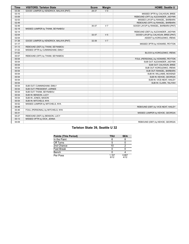| <b>Time</b> | <b>VISITORS: Tarleton State</b>        | <b>Score</b> | <b>Margin</b>  | <b>HOME: Seattle U</b>               |
|-------------|----------------------------------------|--------------|----------------|--------------------------------------|
| 03:39       | GOOD! JUMPER by KENDRICK, MALAYA [PNT] | 28-37        | V <sub>9</sub> |                                      |
| 03:15       |                                        |              |                | MISSED 3PTR by CALHOUN, BREE         |
| 03:09       |                                        |              |                | REBOUND (OFF) by ALEXANDER, JADYNN   |
| 02:53       |                                        |              |                | MISSED LAYUP by RANGEL, BARBARA      |
| 02:49       |                                        |              |                | REBOUND (OFF) by RANGEL, BARBARA     |
| 02:49       |                                        | 30-37        | V <sub>7</sub> | GOOD! LAYUP by RANGEL, BARBARA [PNT] |
| 02:18       | MISSED JUMPER by THIAM, SEYNABOU       |              |                |                                      |
| 02:14       |                                        |              |                | REBOUND (DEF) by ALEXANDER, JADYNN   |
| 02:04       |                                        | 32-37        | V <sub>5</sub> | GOOD! LAYUP by CALHOUN, BREE [PNT]   |
| 02:04       |                                        |              |                | ASSIST by KOROLENKO, IRENA           |
| 01:38       | GOOD! JUMPER by KENDRICK, MALAYA [PNT] | 32-39        | V <sub>7</sub> |                                      |
| 01:17       |                                        |              |                | MISSED 3PTR by HOWARD, PEYTON        |
| 01:13       | REBOUND (DEF) by THIAM, SEYNABOU       |              |                |                                      |
| 01:02       | MISSED 3PTR by CUNNINGHAM, EMILY       |              |                |                                      |
| 01:02       |                                        |              |                | BLOCK by KOROLENKO, IRENA            |
| 00:57       | REBOUND (OFF) by THIAM, SEYNABOU       |              |                |                                      |
| 00:54       |                                        |              |                | FOUL (PERSONAL) by HOWARD, PEYTON    |
| 00:54       |                                        |              |                | SUB OUT: ALEXANDER, JADYNN           |
| 00:54       |                                        |              |                | SUB OUT: CALHOUN, BREE               |
| 00:54       |                                        |              |                | SUB OUT: KOROLENKO, IRENA            |
| 00:54       |                                        |              |                | SUB OUT: RANGEL, BARBARA             |
| 00:54       |                                        |              |                | SUB IN: WILLIAMS, MCKENZI            |
| 00:54       |                                        |              |                | SUB IN: KEHOE, GEORGIA               |
| 00:54       |                                        |              |                | SUB IN: VICE-NEAT, HAILEY            |
| 00:54       |                                        |              |                | SUB IN: CLARK, TALIYAH               |
| 00:54       | SUB OUT: CUNNINGHAM, EMILY             |              |                |                                      |
| 00:54       | SUB OUT: PRESIDENT, JURNEE             |              |                |                                      |
| 00:54       | SUB OUT: THIAM, SEYNABOU               |              |                |                                      |
| 00:54       | SUB IN: BENSON, LUCY                   |              |                |                                      |
| 00:54       | SUB IN: JONES, MASON                   |              |                |                                      |
| 00:54       | SUB IN: MITCHELS, NYA                  |              |                |                                      |
| 00:52       | MISSED JUMPER by MITCHELS, NYA         |              |                |                                      |
| 00:48       |                                        |              |                | REBOUND (DEF) by VICE-NEAT, HAILEY   |
| 00:46       | FOUL (PERSONAL) by MITCHELS, NYA       |              |                |                                      |
| 00:31       |                                        |              |                | MISSED JUMPER by KEHOE, GEORGIA      |
| 00:27       | REBOUND (DEF) by BENSON, LUCY          |              |                |                                      |
| 00:13       | MISSED 3PTR by DICK, JENNA             |              |                |                                      |
| 00:09       |                                        |              |                | REBOUND (DEF) by KEHOE, GEORGIA      |

### **Tarleton State 39, Seattle U 32**

| <b>Points (This Period)</b> | <b>TSU</b>    | <b>SEA</b>    |
|-----------------------------|---------------|---------------|
| In the Paint                |               |               |
| Off Turns                   |               |               |
| 2nd Chance                  | 10            |               |
| <b>Fast Break</b>           |               |               |
| Bench                       |               |               |
| Per Poss                    | 1.167<br>6/12 | 0.667<br>4/12 |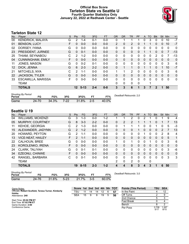### **Official Box Score Tarleton State vs Seattle U Fourth Quarter Statistics Only January 22, 2022 at Redhawk Center - Seattle**



### **Tarleton State 12**

| No. | Plaver                    | S | <b>Pts</b>      | <b>FG</b> | 3FG     | <b>FT</b> | <b>OR</b>    | <b>DR</b>    | TR | PF       | $\mathsf{A}$ | TO | <b>Blk</b> | <b>Stl</b>   | Min            | $+/-$ |
|-----|---------------------------|---|-----------------|-----------|---------|-----------|--------------|--------------|----|----------|--------------|----|------------|--------------|----------------|-------|
| 00  | <b>KENDRICK, MALAYA</b>   | G | 2               | $1 - 4$   | $0 - 1$ | $0 - 0$   | 0            |              |    |          | 0            | 3  | 0          | 0            | 10             | $-7$  |
| 01  | <b>BENSON, LUCY</b>       | F | 0               | $0 - 0$   | $0 - 0$ | $0 - 0$   | 2            | 0            | 2  | 0        |              |    | 0          | $\Omega$     | 10             | $-7$  |
| 02  | DORSEY, IYANA             | G | 0               | $0 - 0$   | $0 - 0$ | $0 - 0$   | 0            | 0            | 0  | 0        | 0            | 0  | 0          | 0            | 0              | 0     |
| 23  | PRESIDENT, JURNEE         | G | 0               | $0 - 1$   | $0 - 0$ | $0 - 0$   | $\Omega$     | $\Omega$     | 0  | $\Omega$ |              |    | 0          | $\mathbf{0}$ | $\overline{7}$ | $-13$ |
| 25  | THIAM, SEYNABOU           | C | $\mathcal{P}$   | $1 - 2$   | $0 - 0$ | $0 - 0$   | $\Omega$     | $\mathbf{0}$ | 0  | 0        | $\Omega$     | 0  | 2          | $\Omega$     |                | -13   |
| 04  | <b>CUNNINGHAM, EMILY</b>  | F | 0               | $0 - 0$   | $0 - 0$ | $0 - 0$   | $\Omega$     | $\mathbf{0}$ | 0  | $\Omega$ | $\Omega$     | 0  | 0          | $\mathbf{0}$ | $\Omega$       | 0     |
| 11  | JONES, MASON              | G | 0               | $0 - 2$   | $0 - 1$ | $0 - 0$   | 0            | 0            | 0  | 0        | $\Omega$     | 0  | 0          | 0            | 3              | 6     |
| 12  | DICK, JENNA               | G | 6               | $2 - 3$   | $2 - 2$ | $0 - 0$   | $\Omega$     |              | 1  | 0        |              |    | 0          |              | 10             | $-7$  |
| 21  | MITCHELS, NYA             | C | $\overline{2}$  | $1 - 1$   | $0 - 0$ | $0 - 0$   | 1            |              | 2  | 0        | $\Omega$     | 0  | 0          | 0            | 3              | 6     |
| 22  | <b>JACKSON, TYLER</b>     | G | 0               | $0 - 0$   | $0 - 0$ | $0 - 0$   | $\Omega$     | $\mathbf{0}$ | 0  | 0        | $\Omega$     | 0  | 0          | $\Omega$     | $\Omega$       | 0     |
| 33  | <b>ESCAMILLA, MARISSA</b> | F | 0               | $0 - 0$   | $0 - 0$ | $0 - 0$   | $\mathbf{0}$ | $\mathbf{0}$ | 0  | 0        | $\Omega$     | 0  | 0          | $\Omega$     | 0              | 0     |
|     | TEAM                      |   |                 |           |         |           | 0            | 0            | 0  | 0        |              |    |            |              |                |       |
|     | <b>TOTALS</b>             |   | 12 <sup>°</sup> | $5 - 13$  | $2 - 4$ | $0 - 0$   | 3            | 3            | 6  | 1        | 3            |    | 2          |              | 50             |       |

| <b>Shooting By Period</b><br>Period | FG    | FG%   | 3FG  | 3FG%  | FT    | FT%   | Deadball Rebounds: 2,0 |
|-------------------------------------|-------|-------|------|-------|-------|-------|------------------------|
| Game                                | 24-70 | 34.3% | 7-22 | 31.8% | $2-5$ | 40.0% |                        |

### **Seattle U 19**

| No. | Plaver                   | S | <b>Pts</b>    | <b>FG</b> | 3FG     | <b>FT</b> | <b>OR</b>    | <b>DR</b> | <b>TR</b>      | PF | A            | TO       | <b>Blk</b> | Stl           | Min          | $+/-$       |
|-----|--------------------------|---|---------------|-----------|---------|-----------|--------------|-----------|----------------|----|--------------|----------|------------|---------------|--------------|-------------|
| 04  | <b>WILLIAMS, MCKENZI</b> | G | 3             | 1-3       | $0 - 0$ | $1 - 2$   |              |           | 2              | 0  | 2            |          |            |               | 9            | 4           |
| 05  | MURPHY, COURTNEY         | G | 8             | $3 - 3$   | $2 - 2$ | $0 - 0$   | $\Omega$     | 2         | 2              |    |              |          | 0          |               | 7            | 13          |
| 11  | <b>KEHOE, GEORGIA</b>    | С | 2             | $1 - 3$   | $0 - 0$ | $0 - 0$   | 0            |           |                |    | 0            | 0        |            | 0             | 5            | -3          |
| 15  | ALEXANDER, JADYNN        | G | 2             | $1 - 2$   | $0 - 0$ | $0 - 0$   | $\Omega$     | 0         | 0              |    | 0            | $\Omega$ | 0          | $\mathcal{P}$ |              | 13          |
| 20  | <b>HOWARD, PEYTON</b>    | G | $\mathcal{P}$ | $1 - 1$   | $0 - 0$ | $0 - 0$   | 0            | 0         | 0              | 0  |              | 0        | 0          | 2             | 8            | 4           |
| 13  | <b>VICE-NEAT, HAILEY</b> | F | 2             | $1 - 1$   | $0 - 0$ | $0 - 0$   | $\Omega$     | $\Omega$  | 0              | 0  | $\Omega$     | $\Omega$ | $\Omega$   | 0             | 5            | 1           |
| 22  | <b>CALHOUN, BREE</b>     | G | 0             | $0 - 0$   | $0 - 0$ | $0 - 0$   | 1.           | $\Omega$  | 1              | 0  | $\Omega$     |          | 0          | $\Omega$      | 3            | 6           |
| 23  | KOROLENKO, IRENA         | F | 0             | $0 - 0$   | $0 - 0$ | $0 - 0$   | $\Omega$     | $\Omega$  | 0              | 0  | $\mathbf{0}$ | $\Omega$ | $\Omega$   | $\Omega$      | $\Omega$     | $\mathbf 0$ |
| 24  | CLARK, TALIYAH           | G | 0             | $0 - 1$   | $0 - 1$ | $0 - 0$   | 0            | 0         | 0              | 0  | 0            | 0        | 0          | $\Omega$      | 3            | $-6$        |
| 34  | EZEONU, CHINWE           | F | 0             | $0 - 0$   | $0 - 0$ | $0 - 0$   | $\mathbf{0}$ | $\Omega$  | 0              | 0  | $\mathbf{0}$ | $\Omega$ | 0          | $\mathbf{0}$  | $\mathbf{0}$ | 0           |
| 42  | RANGEL, BARBARA          | C | 0             | $0 - 1$   | $0 - 0$ | $0 - 0$   | 0            | 0         | 0              | 0  | $\Omega$     | $\Omega$ | 0          | 0             | 3            | 3           |
|     | <b>TEAM</b>              |   |               |           |         |           | 2            | 0         | $\overline{2}$ | 0  |              | 0        |            |               |              |             |
|     | <b>TOTALS</b>            |   | 19            | $8 - 15$  | $2 - 3$ | $1 - 2$   | 4            | 4         | 8              | 3  | 4            | 3        | 1          | 6             | 50           |             |
|     |                          |   |               |           |         |           |              |           |                |    |              |          |            |               |              |             |

| <b>Shooting By Period</b><br>Period | FG    | FG%   | 3FG    | 3FG%  | FТ      | FT%   | Deadball Rebounds: 3,0 |
|-------------------------------------|-------|-------|--------|-------|---------|-------|------------------------|
| Game                                | 24-76 | 31.6% | $5-23$ | 21.7% | $3 - 5$ | 60.0% |                        |

| Game Notes:                                         | Score 1st 2nd 3rd 4th 5th TOT |    |    |    |    |    |    | <b>Points (This Period)</b> | <b>TSU</b>   | <b>SEA</b>    |
|-----------------------------------------------------|-------------------------------|----|----|----|----|----|----|-----------------------------|--------------|---------------|
| Officials: Robert Scofield, Teresa Turner, Kimberly | TSU                           |    | 14 | 14 | 12 | -6 | 57 | In the Paint                |              |               |
| Hobbs<br>Attendance: 240                            | <b>SEA</b>                    | 15 | 9  |    | 19 | 5  | 56 | Off Turns                   |              |               |
|                                                     |                               |    |    |    |    |    |    | 2nd Chance                  |              |               |
| Start Time: 05:02 PM ET<br>End Time: 07:02 PM ET    |                               |    |    |    |    |    |    | Fast Break                  |              |               |
| Game Duration: 2:00                                 |                               |    |    |    |    |    |    | Bench                       |              |               |
| Conference Game;                                    |                               |    |    |    |    |    |    | Per Poss                    | 0.706<br>5/1 | 1.267<br>9/15 |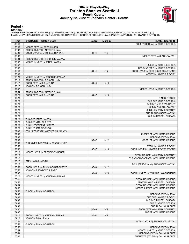### **Official Play-By-Play Tarleton State vs Seattle U Fourth Quarter January 22, 2022 at Redhawk Center - Seattle**



#### **Period 4**

#### **Starters:**

**Tarleton State**: 0 KENDRICK,MALAYA (G); 1 BENSON,LUCY (F); 2 DORSEY,IYANA (G); 23 PRESIDENT,JURNEE (G); 25 THIAM,SEYNABOU (C);<br>**Seattie U**: 4 WILLIAMS,MCKENZI (G); 5 MURPHY,COURTNEY (G); 11 KEHOE,GEORGIA (C); 15 ALEXANDER

| <b>Time</b>    | <b>VISITORS: Tarleton State</b>      | <b>Score</b> | <b>Margin</b>   | <b>HOME: Seattle U</b>                                             |
|----------------|--------------------------------------|--------------|-----------------|--------------------------------------------------------------------|
| 09:48          |                                      |              |                 | FOUL (PERSONAL) by KEHOE, GEORGIA                                  |
| 09:43          | MISSED 3PTR by JONES, MASON          |              |                 |                                                                    |
| 09:38          | REBOUND (OFF) by MITCHELS, NYA       |              |                 |                                                                    |
| 09:38          | GOOD! LAYUP by MITCHELS, NYA [PNT]   | $32 - 41$    | V <sub>9</sub>  |                                                                    |
| 09:08          |                                      |              |                 | MISSED 3PTR by CLARK, TALIYAH                                      |
| 09:04          | REBOUND (DEF) by KENDRICK, MALAYA    |              |                 |                                                                    |
| 08:57          | MISSED JUMPER by JONES, MASON        |              |                 |                                                                    |
| 08:57          |                                      |              |                 | BLOCK by KEHOE, GEORGIA                                            |
| 08:52          |                                      |              |                 | REBOUND (DEF) by KEHOE, GEORGIA                                    |
| 08:48<br>08:48 |                                      | $34 - 41$    | V <sub>7</sub>  | GOOD! LAYUP by KEHOE, GEORGIA [FB/PNT]<br>ASSIST by HOWARD, PEYTON |
| 08:23          | MISSED JUMPER by KENDRICK, MALAYA    |              |                 |                                                                    |
| 08:19          | REBOUND (OFF) by BENSON, LUCY        |              |                 |                                                                    |
| 08:17          | GOOD! 3PTR by DICK, JENNA            | 34-44        | $V$ 10          |                                                                    |
| 08:17          | ASSIST by BENSON, LUCY               |              |                 |                                                                    |
| 07:57          |                                      |              |                 | MISSED LAYUP by KEHOE, GEORGIA                                     |
| 07:54          | REBOUND (DEF) by MITCHELS, NYA       |              |                 |                                                                    |
| 07:23          | GOOD! 3PTR by DICK, JENNA            | 34-47        | V <sub>13</sub> |                                                                    |
| 07:23          |                                      |              |                 | TIMEOUT 30SEC                                                      |
| 07:23          |                                      |              |                 | SUB OUT: KEHOE, GEORGIA                                            |
| 07:23          |                                      |              |                 | SUB OUT: VICE-NEAT, HAILEY                                         |
| 07:23          |                                      |              |                 | SUB OUT: CLARK, TALIYAH                                            |
| 07:23          |                                      |              |                 | SUB IN: MURPHY, COURTNEY                                           |
| 07:23          |                                      |              |                 | SUB IN: ALEXANDER, JADYNN                                          |
| 07:23          |                                      |              |                 | SUB IN: RANGEL, BARBARA                                            |
| 07:23          | SUB OUT: JONES, MASON                |              |                 |                                                                    |
| 07:23          | SUB OUT: MITCHELS, NYA               |              |                 |                                                                    |
| 07:23          | SUB IN: PRESIDENT, JURNEE            |              |                 |                                                                    |
| 07:23          | SUB IN: THIAM, SEYNABOU              |              |                 |                                                                    |
| 07:05          | FOUL (PERSONAL) by KENDRICK, MALAYA  |              |                 |                                                                    |
| 07:05          |                                      |              |                 | MISSED FT by WILLIAMS, MCKENZI                                     |
| 07:05          |                                      |              |                 | REBOUND (OFF) by TEAM                                              |
| 07:05          |                                      | 35-47        | V <sub>12</sub> | GOOD! FT by WILLIAMS, MCKENZI                                      |
| 06:56<br>06:56 | TURNOVER (BADPASS) by BENSON, LUCY   |              |                 | STEAL by HOWARD, PEYTON                                            |
| 06:52          |                                      | 37-47        | $V$ 10          | GOOD! LAYUP by HOWARD, PEYTON [FB/PNT]                             |
| 06:18          | MISSED LAYUP by PRESIDENT, JURNEE    |              |                 |                                                                    |
| 06:13          |                                      |              |                 | REBOUND (DEF) by MURPHY, COURTNEY                                  |
| 06:12          |                                      |              |                 | TURNOVER (BADPASS) by WILLIAMS, MCKENZI                            |
| 06:12          | STEAL by DICK, JENNA                 |              |                 |                                                                    |
| 06:12          |                                      |              |                 | FOUL (PERSONAL) by ALEXANDER, JADYNN                               |
| 05:56          | GOOD! LAYUP by THIAM, SEYNABOU [PNT] | 37-49        | V <sub>12</sub> |                                                                    |
| 05:56          | ASSIST by PRESIDENT, JURNEE          |              |                 |                                                                    |
| 05:42          |                                      | 39-49        | $V$ 10          | GOOD! JUMPER by WILLIAMS, MCKENZI [PNT]                            |
| 05:16          | MISSED JUMPER by KENDRICK, MALAYA    |              |                 |                                                                    |
| 05:11          |                                      |              |                 | REBOUND (DEF) by WILLIAMS, MCKENZI                                 |
| 04:58          |                                      |              |                 | MISSED LAYUP by RANGEL, BARBARA                                    |
| 04:54          |                                      |              |                 | REBOUND (OFF) by WILLIAMS, MCKENZI                                 |
| 04:52          |                                      |              |                 | MISSED JUMPER by WILLIAMS, MCKENZI                                 |
| 04:52          | BLOCK by THIAM, SEYNABOU             |              |                 |                                                                    |
| 04:49          |                                      |              |                 | REBOUND (OFF) by TEAM                                              |
| 04:49          |                                      |              |                 | SUB OUT: HOWARD, PEYTON                                            |
| 04:49          |                                      |              |                 | SUB OUT: RANGEL, BARBARA                                           |
| 04:49          |                                      |              |                 | SUB IN: KEHOE, GEORGIA                                             |
| 04:49          |                                      |              |                 | SUB IN: CALHOUN, BREE                                              |
| 04:47          |                                      | 42-49        | V <sub>7</sub>  | GOOD! 3PTR by MURPHY, COURTNEY                                     |
| 04:47          |                                      |              | V <sub>9</sub>  | ASSIST by WILLIAMS, MCKENZI                                        |
| 04:18          | GOOD! JUMPER by KENDRICK, MALAYA     | 42-51        |                 |                                                                    |
| 04:18<br>03:59 | ASSIST by DICK, JENNA                |              |                 | MISSED LAYUP by ALEXANDER, JADYNN                                  |
| 03:59          | BLOCK by THIAM, SEYNABOU             |              |                 |                                                                    |
| 03:56          |                                      |              |                 | REBOUND (OFF) by TEAM                                              |
| 03:54          |                                      |              |                 | MISSED JUMPER by KEHOE, GEORGIA                                    |
| 03:51          |                                      |              |                 | REBOUND (OFF) by CALHOUN, BREE                                     |
| 03:42          |                                      |              |                 | TURNOVER (OTHER) by CALHOUN, BREE                                  |
|                |                                      |              |                 |                                                                    |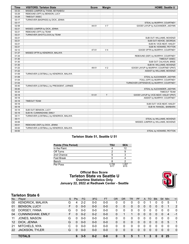| <b>Time</b> | <b>VISITORS: Tarleton State</b>          | <b>Score</b> | <b>Margin</b>  | <b>HOME: Seattle U</b>                   |
|-------------|------------------------------------------|--------------|----------------|------------------------------------------|
| 03:33       | MISSED JUMPER by THIAM, SEYNABOU         |              |                |                                          |
| 03:29       | REBOUND (OFF) by BENSON, LUCY            |              |                |                                          |
| 03:28       | TIMEOUT 30SEC                            |              |                |                                          |
| 03:17       | TURNOVER (BADPASS) by DICK, JENNA        |              |                |                                          |
| 03:17       |                                          |              |                | STEAL by MURPHY, COURTNEY                |
| 02:58       |                                          | 44-51        | V <sub>7</sub> | GOOD! LAYUP by ALEXANDER, JADYNN         |
| 02:21       | MISSED JUMPER by DICK, JENNA             |              |                |                                          |
| 02:21       | REBOUND (OFF) by TEAM                    |              |                |                                          |
| 02:21       | TURNOVER (SHOTCLOCK) by TEAM             |              |                |                                          |
| 02:21       |                                          |              |                | SUB OUT: WILLIAMS, MCKENZI               |
| 02:21       |                                          |              |                | SUB OUT: KEHOE, GEORGIA                  |
| 02:21       |                                          |              |                | SUB IN: VICE-NEAT, HAILEY                |
| 02:21       |                                          |              |                | SUB IN: HOWARD, PEYTON                   |
| 02:12       |                                          | 47-51        | V <sub>4</sub> | GOOD! 3PTR by MURPHY, COURTNEY           |
| 01:37       | MISSED 3PTR by KENDRICK, MALAYA          |              |                |                                          |
| 01:34       |                                          |              |                | REBOUND (DEF) by MURPHY, COURTNEY        |
| 01:30       |                                          |              |                | <b>TIMEOUT 30SEC</b>                     |
| 01:30       |                                          |              |                | SUB OUT: CALHOUN, BREE                   |
| 01:30       |                                          |              |                | SUB IN: WILLIAMS, MCKENZI                |
| 01:22       |                                          | 49-51        | V <sub>2</sub> | GOOD! LAYUP by MURPHY, COURTNEY [PNT]    |
| 01:22       |                                          |              |                | ASSIST by WILLIAMS, MCKENZI              |
| 01:09       | TURNOVER (LOSTBALL) by KENDRICK, MALAYA  |              |                |                                          |
| 01:09       |                                          |              |                | STEAL by ALEXANDER, JADYNN               |
| 01:04       |                                          |              |                | FOUL (OFF) by MURPHY, COURTNEY           |
| 01:04       |                                          |              |                | TURNOVER (OFFENSIVE) by MURPHY, COURTNEY |
| 00:40       | TURNOVER (LOSTBALL) by PRESIDENT, JURNEE |              |                |                                          |
| 00:40       |                                          |              |                | STEAL by ALEXANDER, JADYNN               |
| 00:34       |                                          |              |                | <b>TIMEOUT TEAM</b>                      |
| 00:18       |                                          | $51 - 51$    | T.             | GOOD! LAYUP by VICE-NEAT, HAILEY [PNT]   |
| 00:18       |                                          |              |                | ASSIST by MURPHY, COURTNEY               |
| 00:18       | <b>TIMEOUT TEAM</b>                      |              |                |                                          |
| 00:18       |                                          |              |                | SUB OUT: VICE-NEAT, HAILEY               |
| 00:18       |                                          |              |                | SUB IN: RANGEL, BARBARA                  |
| 00:18       | SUB OUT: BENSON, LUCY                    |              |                |                                          |
| 00:18       | SUB IN: CUNNINGHAM, EMILY                |              |                |                                          |
| 00:11       | TURNOVER (LOSTBALL) by KENDRICK, MALAYA  |              |                |                                          |
| 00:11       |                                          |              |                | STEAL by WILLIAMS, MCKENZI               |
| 00:06       |                                          |              |                | MISSED JUMPER by WILLIAMS, MCKENZI       |
| 00:01       | REBOUND (DEF) by DICK, JENNA             |              |                |                                          |
| 00:00       | TURNOVER (LOSTBALL) by KENDRICK, MALAYA  |              |                |                                          |
| 00:00       |                                          |              |                | STEAL by HOWARD, PEYTON                  |

### **Tarleton State 51, Seattle U 51**

| <b>Points (This Period)</b> | TSU           | <b>SEA</b>    |
|-----------------------------|---------------|---------------|
| In the Paint                |               | 12            |
| Off Turns                   |               |               |
| 2nd Chance                  |               |               |
| <b>Fast Break</b>           |               |               |
| Bench                       |               |               |
| Per Poss                    | 0.706<br>5/17 | 1.267<br>9/15 |

### **Official Box Score Tarleton State vs Seattle U Overtime Statistics Only January 22, 2022 at Redhawk Center - Seattle**



### **Tarleton State 6**

| No. | Plaver                   | S  | <b>Pts</b> | FG      | 3FG     | <b>FT</b> | <b>OR</b> | DR | TR | <b>PF</b> | A        | TO       | <b>Blk</b> | Stl      | Min | $+/-$          |
|-----|--------------------------|----|------------|---------|---------|-----------|-----------|----|----|-----------|----------|----------|------------|----------|-----|----------------|
| 00  | <b>KENDRICK, MALAYA</b>  | G  | 4          | $2 - 2$ | 0-0     | $0-0$     |           |    |    |           |          |          | 0          |          | 5   |                |
| 01  | <b>BENSON, LUCY</b>      | F  | 0          | $0 - 0$ | $0-0$   | $0 - 0$   | 0         | 0  | 0  | 0         | 0        | 0        | 0          | 0        |     | 2              |
| 02  | DORSEY, IYANA            | G  | 0          | $0 - 0$ | $0 - 0$ | $0 - 0$   | 0         | 0  | 0  | 0         | 0        | 0        | 0          | 0        | 0   | $\mathbf{0}$   |
| 04  | <b>CUNNINGHAM, EMILY</b> | F. | 0          | $0 - 2$ | $0 - 2$ | $0 - 0$   | 0         |    |    | $\Omega$  | 0        | 0        | 0          | $\Omega$ | 4   | $-1$           |
| 11  | JONES, MASON             | G  | 0          | $0 - 0$ | $0 - 0$ | $0 - 0$   | 0         |    | 0  | 0         | $\Omega$ | 0        | 0          | 0        | 0   | $\mathbf{0}$   |
| 12  | DICK, JENNA              | G  | 0          | $0 - 0$ | $0 - 0$ | $0 - 0$   | 0         | 0  | 0  | $\Omega$  | $\Omega$ | 0        | 0          | $\Omega$ | 5   | $\overline{1}$ |
| 21  | MITCHELS, NYA            | C  | 0          | $0 - 0$ | $0 - 0$ | $0 - 0$   | 0         | 0  | 0  | 0         | $\Omega$ | 0        | 0          | 0        | 0   | $\mathbf{0}$   |
| 22  | <b>JACKSON, TYLER</b>    | G  | 0          | $0 - 0$ | $0 - 0$ | $0 - 0$   | 0         | 0  | 0  | $\Omega$  | $\Omega$ | $\Omega$ | 0          | $\Omega$ | 0   | $\mathbf{0}$   |
|     |                          |    |            |         |         |           |           |    |    |           |          |          |            |          |     |                |
|     | <b>TOTALS</b>            |    | 6          | $3 - 5$ | $0 - 2$ | $0 - 0$   |           | 5  | 5  |           |          | 3        | 0          | 0        | 25  |                |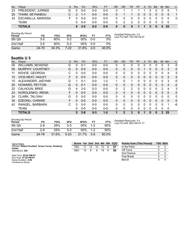| No. | Plaver                    | S  | <b>Pts</b> | FG      | 3FG     | FT      | <b>OR</b>    | DR | TR | PF. |          | A TO     | <b>BIK</b>   | Stl      | Min             | $+/-$ |
|-----|---------------------------|----|------------|---------|---------|---------|--------------|----|----|-----|----------|----------|--------------|----------|-----------------|-------|
| 23  | PRESIDENT, JURNEE         | G  | $\Omega$   | $0 - 0$ | 0-0     | 0-0     | 0            |    |    |     |          |          |              | $\Omega$ | - 5             |       |
| 25  | THIAM, SEYNABOU           |    | 2          | $1 - 1$ | $0 - 0$ | $0 - 0$ | $\mathbf{0}$ |    |    | 0   | 0        | 0        | 0            | $\Omega$ | - 5             |       |
| 33  | <b>ESCAMILLA, MARISSA</b> | F. | $\Omega$   | ი-ი     | ი-ი     | $0 - 0$ | 0            | 0  | 0  | 0   |          | $\Omega$ |              |          |                 |       |
|     | TEAM                      |    | $\Omega$   | .ი -ი   | ი-ი     | $0 - 0$ | $\Omega$     | -2 |    | 0   | $\Omega$ | $\Omega$ | $\Omega$     |          |                 |       |
|     | <b>TOTALS</b>             |    | 6.         | $3 - 5$ | $0 - 2$ | $0 - 0$ | 0            | 5  | 5  |     |          |          | $\mathbf{0}$ |          | 0 <sub>25</sub> |       |

| <b>Shooting By Period</b><br>Period | FG    | FG%   | 3FG     | 3FG%   | FT    | FT%   |
|-------------------------------------|-------|-------|---------|--------|-------|-------|
| 5th Otr                             | 3-5   | 60%   | $0 - 2$ | 00%    | ი-ი   | 0%    |
| 2nd Half                            | 3-5   | 60%   | $0 - 2$ | $00\%$ | ი-ი   | 0%    |
| Game                                | 24-70 | 34.3% | $7-22$  | 31.8%  | $2-5$ | 40.0% |

*Deadball Rebounds:* 2,0 *Last FG Half:* TSU 5th-00:07

### **Seattle U 5**

| No. | Player                   | S | <b>Pts</b> | FG.     | 3FG     | <b>FT</b> | <b>OR</b>    | D <sub>R</sub> | TR | <b>PF</b> | A | TO       | <b>B</b> lk  | Stl      | <b>Min</b> | $+/-$ |
|-----|--------------------------|---|------------|---------|---------|-----------|--------------|----------------|----|-----------|---|----------|--------------|----------|------------|-------|
| 04  | <b>WILLIAMS, MCKENZI</b> | G | 0          | $0 - 1$ | $0 - 0$ | $0-0$     | 0            | 0              | 0  | 0         | 0 | 0        | 0            | 0        | 3          | $-5$  |
| 05  | MURPHY, COURTNEY         | G | 0          | $0 - 0$ | $0 - 0$ | $0 - 0$   | $\Omega$     | 0              | 0  | 0         |   | 0        | 0            | 0        | 3          | 0     |
| 11  | <b>KEHOE, GEORGIA</b>    | С | 0          | $0 - 0$ | $0 - 0$ | $0 - 0$   | $\mathbf{0}$ | 0              | 0  | 0         | 0 | 0        | 0            | $\Omega$ | 4          | 5     |
| 13  | <b>VICE-NEAT, HAILEY</b> | F | 0          | $0 - 0$ | $0 - 0$ | $0 - 0$   | $\Omega$     | 0              | 0  | 0         | 0 | 0        | 0            | 0        | 3          | 5     |
| 15  | ALEXANDER, JADYNN        | G |            | $0 - 1$ | $0 - 0$ | $1 - 2$   | 1            | 0              | 1  | 0         | 0 | 0        | 0            | 0        | 3          | $-5$  |
| 20  | HOWARD, PEYTON           | G | 0          | $0 - 1$ | $0 - 0$ | $0 - 0$   | $\Omega$     | 0              | 0  | $\Omega$  | 0 | 0        | 0            | 0        | 4          | $-2$  |
| 22  | <b>CALHOUN, BREE</b>     | G | 4          | $2 - 5$ | $0 - 3$ | $0 - 0$   | $\mathbf{0}$ | 2              | 2  | 0         | 0 | 0        | 0            | 2        | 4          | 3     |
| 23  | KOROLENKO, IRENA         | F | 0          | $0 - 0$ | $0 - 0$ | $0 - 0$   | $\Omega$     | 0              | 0  | $\Omega$  | 0 | 0        | 0            | 0        | 0          | 0     |
| 24  | <b>CLARK, TALIYAH</b>    | G | 0          | $0 - 0$ | $0 - 0$ | $0 - 0$   | $\Omega$     | $\Omega$       | 0  | 0         | 0 | $\Omega$ | 0            | 0        | $\Omega$   | 0     |
| 34  | EZEONU, CHINWE           | F | 0          | $0 - 0$ | $0 - 0$ | $0 - 0$   | $\Omega$     | $\Omega$       | 0  | $\Omega$  | 0 | 0        | 0            | 0        | $\Omega$   | 0     |
| 42  | RANGEL, BARBARA          | C | 0          | $0 - 0$ | $0 - 0$ | $0 - 0$   | $\Omega$     | 0              | 0  | 0         | 0 | 0        | 0            | 0        | 1          | -6    |
|     | TEAM                     |   | 0          | $0 - 0$ | $0 - 0$ | $0 - 0$   | $\Omega$     | 0              | 0  | 0         | 0 | 0        | 0            | 0        | 0          |       |
|     | <b>TOTALS</b>            |   | 5          | $2 - 8$ | $0 - 3$ | $1 - 2$   | 1            | $\mathfrak{p}$ | 3  | $\bf{0}$  |   | $\bf{0}$ | $\mathbf{0}$ |          | 25         |       |

| Shooting By Period<br>Period | FG      | FG%   | 3FG    | 3FG%   | FТ    | FT%   |
|------------------------------|---------|-------|--------|--------|-------|-------|
| 5th Otr                      | $2 - 8$ | 25%   | 0-3    | 00%    | $1-2$ | 50%   |
| 2nd Half                     | 2-8     | 25%   | 0-3    | $00\%$ | $1-2$ | 50%   |
| Game                         | 24 76   | 31.6% | $5-23$ | 21.7%  | $3-5$ | 60.0% |

*Deadball Rebounds:* 3,0 *Last FG Half:* SEA 5th-01:17

| Game Notes:                                                         | Score 1st 2nd 3rd 4th 5th TOT |    |    |    |    |   |    | <b>Points from (This Period)</b> | <b>TSU SEA</b> |
|---------------------------------------------------------------------|-------------------------------|----|----|----|----|---|----|----------------------------------|----------------|
| Officials: Robert Scofield, Teresa Turner, Kimberly<br><b>Hobbs</b> | TSU                           |    | 14 | 14 | 12 |   | 57 | In the Paint                     |                |
| Attendance: 240                                                     | SEA                           | 15 | я  |    | 19 | b | 56 | Off Turns                        |                |
|                                                                     |                               |    |    |    |    |   |    | 2nd Chance                       |                |
| Start Time: 05:02 PM ET<br>End Time: 07:02 PM ET                    |                               |    |    |    |    |   |    | <b>Fast Break</b>                |                |
| Game Duration: 2:00                                                 |                               |    |    |    |    |   |    | Bench                            |                |
| Conference Game:                                                    |                               |    |    |    |    |   |    |                                  |                |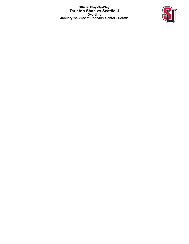**Official Play-By-Play Tarleton State vs Seattle U Overtime January 22, 2022 at Redhawk Center - Seattle**

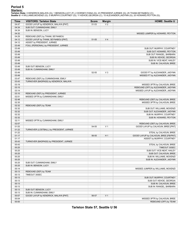<mark>Startersː</mark><br>Tarleton State: 0 KENDRICK,MALAYA (G); 1 BENSON,LUCY (F); 2 DORSEY,IYANA (G); 23 PRESIDENT,JURNEE (G); 25 THIAM,SEYNABOU (C);<br>Seattle U: 4 WILLIAMS,MCKENZI (G); 5 MURPHY,COURTNEY (G); 11 KEHOE,GEORGIA (C); 15 A

| <b>Time</b> | <b>VISITORS: Tarleton State</b>          | <b>Score</b> | <b>Margin</b>  | <b>HOME: Seattle U</b>                |
|-------------|------------------------------------------|--------------|----------------|---------------------------------------|
| 04:47       | GOOD! LAYUP by KENDRICK, MALAYA [PNT]    | 51-53        | V <sub>2</sub> |                                       |
| 04:34       | SUB OUT: CUNNINGHAM, EMILY               |              |                |                                       |
| 04:34       | SUB IN: BENSON, LUCY                     |              |                |                                       |
| 04:32       |                                          |              |                | MISSED JUMPER by HOWARD, PEYTON       |
| 04:29       | REBOUND (DEF) by THIAM, SEYNABOU         |              |                |                                       |
| 04:12       | GOOD! LAYUP by THIAM, SEYNABOU [PNT]     |              | V <sub>4</sub> |                                       |
| 04:12       |                                          | 51-55        |                |                                       |
| 03:49       | ASSIST by PRESIDENT, JURNEE              |              |                |                                       |
|             | FOUL (PERSONAL) by PRESIDENT, JURNEE     |              |                |                                       |
| 03:49       |                                          |              |                | SUB OUT: MURPHY, COURTNEY             |
| 03:49       |                                          |              |                | SUB OUT: HOWARD, PEYTON               |
| 03:49       |                                          |              |                | SUB OUT: RANGEL, BARBARA              |
| 03:49       |                                          |              |                | SUB IN: KEHOE, GEORGIA                |
| 03:49       |                                          |              |                | SUB IN: VICE-NEAT, HAILEY             |
| 03:49       |                                          |              |                | SUB IN: CALHOUN, BREE                 |
| 03:49       | SUB OUT: BENSON, LUCY                    |              |                |                                       |
| 03:49       | SUB IN: CUNNINGHAM, EMILY                |              |                |                                       |
| 03:49       |                                          | 52-55        | $V_3$          | GOOD! FT by ALEXANDER, JADYNN         |
| 03:49       |                                          |              |                | MISSED FT by ALEXANDER, JADYNN        |
| 03:47       | REBOUND (DEF) by CUNNINGHAM, EMILY       |              |                |                                       |
| 03:43       | TURNOVER (BADPASS) by KENDRICK, MALAYA   |              |                |                                       |
| 03:19       |                                          |              |                | MISSED 3PTR by CALHOUN, BREE          |
| 03:15       |                                          |              |                | REBOUND (OFF) by ALEXANDER, JADYNN    |
| 03:14       |                                          |              |                | MISSED LAYUP by ALEXANDER, JADYNN     |
| 03:10       | REBOUND (DEF) by PRESIDENT, JURNEE       |              |                |                                       |
| 02:51       | MISSED 3PTR by CUNNINGHAM, EMILY         |              |                |                                       |
| 02:48       |                                          |              |                | REBOUND (DEF) by CALHOUN, BREE        |
| 02:35       |                                          |              |                | MISSED 3PTR by CALHOUN, BREE          |
| 02:32       | REBOUND (DEF) by TEAM                    |              |                |                                       |
| 02:32       |                                          |              |                | SUB OUT: WILLIAMS, MCKENZI            |
| 02:32       |                                          |              |                | SUB OUT: ALEXANDER, JADYNN            |
| 02:32       |                                          |              |                | SUB IN: MURPHY, COURTNEY              |
| 02:32       |                                          |              |                | SUB IN: HOWARD, PEYTON                |
| 02:11       | MISSED 3PTR by CUNNINGHAM, EMILY         |              |                |                                       |
| 02:07       |                                          |              |                | REBOUND (DEF) by CALHOUN, BREE        |
| 01:53       |                                          | 54-55        | V <sub>1</sub> | GOOD! LAYUP by CALHOUN, BREE [PNT]    |
| 01:22       | TURNOVER (LOSTBALL) by PRESIDENT, JURNEE |              |                |                                       |
| 01:22       |                                          |              |                | STEAL by CALHOUN, BREE                |
| 01:17       |                                          | 56-55        | H <sub>1</sub> | GOOD! LAYUP by CALHOUN, BREE [FB/PNT] |
| 01:17       |                                          |              |                | ASSIST by MURPHY, COURTNEY            |
| 00:43       | TURNOVER (BADPASS) by PRESIDENT, JURNEE  |              |                |                                       |
| 00:43       |                                          |              |                | STEAL by CALHOUN, BREE                |
| 00:25       |                                          |              |                | TIMEOUT 30SEC                         |
| 00:25       |                                          |              |                | SUB OUT: VICE-NEAT, HAILEY            |
| 00:25       |                                          |              |                | SUB OUT: CALHOUN, BREE                |
| 00:25       |                                          |              |                | SUB IN: WILLIAMS, MCKENZI             |
| 00:25       |                                          |              |                | SUB IN: ALEXANDER, JADYNN             |
| 00:25       | SUB OUT: CUNNINGHAM, EMILY               |              |                |                                       |
| 00:25       | SUB IN: BENSON, LUCY                     |              |                |                                       |
| 00:14       |                                          |              |                | MISSED JUMPER by WILLIAMS, MCKENZI    |
|             |                                          |              |                |                                       |
| 00:13       | REBOUND (DEF) by TEAM                    |              |                |                                       |
| 00:13       | TIMEOUT 30SEC                            |              |                |                                       |
| 00:13       |                                          |              |                | SUB OUT: MURPHY, COURTNEY             |
| 00:13       |                                          |              |                | SUB OUT: KEHOE, GEORGIA               |
| 00:13       |                                          |              |                | SUB IN: CALHOUN, BREE                 |
| 00:13       |                                          |              |                | SUB IN: RANGEL, BARBARA               |
| 00:13       | SUB OUT: BENSON, LUCY                    |              |                |                                       |
| 00:13       | SUB IN: CUNNINGHAM, EMILY                |              |                |                                       |
| 00:07       | GOOD! LAYUP by KENDRICK, MALAYA [PNT]    | 56-57        | V <sub>1</sub> |                                       |
| 00:04       |                                          |              |                | MISSED 3PTR by CALHOUN, BREE          |
| 00:00       |                                          |              |                | REBOUND (OFF) by TEAM                 |

**Tarleton State 57, Seattle U 56**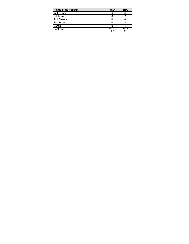| <b>Points (This Period)</b> | TSU          | <b>SEA</b>   |
|-----------------------------|--------------|--------------|
| In the Paint                | 6            |              |
| Off Turns                   |              |              |
| 2nd Chance                  |              |              |
| <b>Fast Break</b>           |              |              |
| Bench                       |              |              |
| Per Poss                    | 0.750<br>3/8 | 0.625<br>3/8 |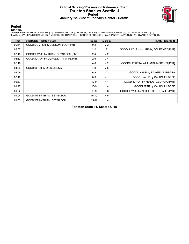### **Official Scoring/Possession Reference Chart Tarleton State vs Seattle U Period 1 January 22, 2022 at Redhawk Center - Seattle**



**Period 1**

#### **Starters:**

**Tarleton State**: 0 KENDRICK,MALAYA (G); 1 BENSON,LUCY (F); 2 DORSEY,IYANA (G); 23 PRESIDENT,JURNEE (G); 25 THIAM,SEYNABOU (C);<br>**Seattie U**: 4 WILLIAMS,MCKENZI (G); 5 MURPHY,COURTNEY (G); 11 KEHOE,GEORGIA (C); 15 ALEXANDER

| <b>Time</b> | <b>VISITORS: Tarleton State</b>       | <b>Score</b> | <b>Margin</b>  | <b>HOME: Seattle U</b>                 |
|-------------|---------------------------------------|--------------|----------------|----------------------------------------|
| 09:41       | GOOD! JUMPER by BENSON, LUCY [PNT]    | $0 - 2$      | V <sub>2</sub> |                                        |
| 08:07       |                                       | $2 - 2$      | т              | GOOD! LAYUP by MURPHY, COURTNEY [PNT]  |
| 07:13       | GOOD! LAYUP by THIAM, SEYNABOU [PNT]  | $2 - 4$      | V <sub>2</sub> |                                        |
| 05:32       | GOOD! LAYUP by DORSEY, IYANA [FB/PNT] | $2-6$        | V <sub>4</sub> |                                        |
| 05:18       |                                       | $4-6$        | V <sub>2</sub> | GOOD! LAYUP by WILLIAMS, MCKENZI [PNT] |
| 04:09       | GOOD! 3PTR by DICK, JENNA             | $4 - 9$      | V <sub>5</sub> |                                        |
| 03:59       |                                       | $6-9$        | $V_3$          | GOOD! LAYUP by RANGEL, BARBARA         |
| 03:12       |                                       | $8-9$        | V <sub>1</sub> | GOOD! LAYUP by CALHOUN, BREE           |
| 02:37       |                                       | $10-9$       | H <sub>1</sub> | GOOD! LAYUP by KEHOE, GEORGIA [PNT]    |
| 01:47       |                                       | $13-9$       | H4             | GOOD! 3PTR by CALHOUN, BREE            |
| 01:22       |                                       | $15-9$       | H <sub>6</sub> | GOOD! LAYUP by KEHOE, GEORGIA [FB/PNT] |
| 01:04       | GOOD! FT by THIAM, SEYNABOU           | $15 - 10$    | H <sub>5</sub> |                                        |
| 01:03       | GOOD! FT by THIAM, SEYNABOU           | $15 - 11$    | H <sub>4</sub> |                                        |

**Tarleton State 11, Seattle U 15**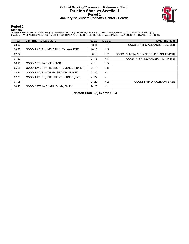### **Official Scoring/Possession Reference Chart Tarleton State vs Seattle U Period 2 January 22, 2022 at Redhawk Center - Seattle**



**Period 2**

#### **Starters:**

**Tarleton State**: 0 KENDRICK,MALAYA (G); 1 BENSON,LUCY (F); 2 DORSEY,IYANA (G); 23 PRESIDENT,JURNEE (G); 25 THIAM,SEYNABOU (C);<br>**Seattie U**: 4 WILLIAMS,MCKENZI (G); 5 MURPHY,COURTNEY (G); 11 KEHOE,GEORGIA (C); 15 ALEXANDER

| <b>Time</b> | <b>VISITORS: Tarleton State</b>           | <b>Score</b> | <b>Margin</b>  | <b>HOME: Seattle U</b>                    |
|-------------|-------------------------------------------|--------------|----------------|-------------------------------------------|
| 08:50       |                                           | $18-11$      | H 7            | GOOD! 3PTR by ALEXANDER, JADYNN           |
| 08:28       | GOOD! LAYUP by KENDRICK, MALAYA [PNT]     | $18 - 13$    | H <sub>5</sub> |                                           |
| 07:27       |                                           | $20-13$      | H 7            | GOOD! LAYUP by ALEXANDER, JADYNN [FB/PNT] |
| 07:27       |                                           | $21 - 13$    | H 8            | GOOD! FT by ALEXANDER, JADYNN [FB]        |
| 06:15       | GOOD! 3PTR by DICK, JENNA                 | $21 - 16$    | H <sub>5</sub> |                                           |
| 05:25       | GOOD! LAYUP by PRESIDENT, JURNEE [FB/PNT] | $21 - 18$    | $H_3$          |                                           |
| 03:24       | GOOD! LAYUP by THIAM, SEYNABOU [PNT]      | $21 - 20$    | H <sub>1</sub> |                                           |
| 02:01       | GOOD! LAYUP by PRESIDENT, JURNEE [PNT]    | $21 - 22$    | V <sub>1</sub> |                                           |
| 01:08       |                                           | 24-22        | H <sub>2</sub> | GOOD! 3PTR by CALHOUN, BREE               |
| 00:40       | GOOD! 3PTR by CUNNINGHAM, EMILY           | 24-25        | V <sub>1</sub> |                                           |

**Tarleton State 25, Seattle U 24**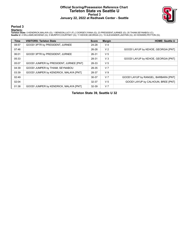### **Official Scoring/Possession Reference Chart Tarleton State vs Seattle U Period 3 January 22, 2022 at Redhawk Center - Seattle**



**Period 3**

#### **Starters:**

**Tarleton State**: 0 KENDRICK,MALAYA (G); 1 BENSON,LUCY (F); 2 DORSEY,IYANA (G); 23 PRESIDENT,JURNEE (G); 25 THIAM,SEYNABOU (C);<br>**Seattie U**: 4 WILLIAMS,MCKENZI (G); 5 MURPHY,COURTNEY (G); 11 KEHOE,GEORGIA (C); 15 ALEXANDER

| <b>Time</b> | <b>VISITORS: Tarleton State</b>         | <b>Score</b> | <b>Margin</b>  | <b>HOME: Seattle U</b>               |
|-------------|-----------------------------------------|--------------|----------------|--------------------------------------|
| 08:57       | GOOD! 3PTR by PRESIDENT, JURNEE         | 24-28        | V <sub>4</sub> |                                      |
| 07:46       |                                         | 26-28        | V <sub>2</sub> | GOOD! LAYUP by KEHOE, GEORGIA [PNT]  |
| 06:01       | GOOD! 3PTR by PRESIDENT, JURNEE         | 26-31        | V <sub>5</sub> |                                      |
| 05:33       |                                         | 28-31        | $V_3$          | GOOD! LAYUP by KEHOE, GEORGIA [PNT]  |
| 05:07       | GOOD! JUMPER by PRESIDENT, JURNEE [PNT] | 28-33        | V <sub>5</sub> |                                      |
| 04:39       | GOOD! JUMPER by THIAM, SEYNABOU         | 28-35        | V <sub>7</sub> |                                      |
| 03:39       | GOOD! JUMPER by KENDRICK, MALAYA [PNT]  | 28-37        | V <sub>9</sub> |                                      |
| 02:49       |                                         | 30-37        | V <sub>7</sub> | GOOD! LAYUP by RANGEL, BARBARA [PNT] |
| 02:04       |                                         | 32-37        | V <sub>5</sub> | GOOD! LAYUP by CALHOUN, BREE [PNT]   |
| 01:38       | GOOD! JUMPER by KENDRICK, MALAYA [PNT]  | 32-39        | V <sub>7</sub> |                                      |

**Tarleton State 39, Seattle U 32**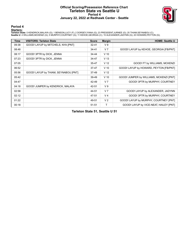### **Official Scoring/Possession Reference Chart Tarleton State vs Seattle U Period 4 January 22, 2022 at Redhawk Center - Seattle**



**Period 4**

#### **Starters:**

**Tarleton State**: 0 KENDRICK,MALAYA (G); 1 BENSON,LUCY (F); 2 DORSEY,IYANA (G); 23 PRESIDENT,JURNEE (G); 25 THIAM,SEYNABOU (C);<br>**Seattie U**: 4 WILLIAMS,MCKENZI (G); 5 MURPHY,COURTNEY (G); 11 KEHOE,GEORGIA (C); 15 ALEXANDER

| Time  | <b>VISITORS: Tarleton State</b>      | <b>Score</b> | <b>Margin</b>   | <b>HOME: Seattle U</b>                  |
|-------|--------------------------------------|--------------|-----------------|-----------------------------------------|
| 09:38 | GOOD! LAYUP by MITCHELS, NYA [PNT]   | 32-41        | V <sub>9</sub>  |                                         |
| 08:48 |                                      | $34 - 41$    | V <sub>7</sub>  | GOOD! LAYUP by KEHOE, GEORGIA [FB/PNT]  |
| 08:17 | GOOD! 3PTR by DICK, JENNA            | 34-44        | $V$ 10          |                                         |
| 07:23 | GOOD! 3PTR by DICK, JENNA            | 34-47        | V <sub>13</sub> |                                         |
| 07:05 |                                      | 35-47        | V <sub>12</sub> | GOOD! FT by WILLIAMS, MCKENZI           |
| 06:52 |                                      | $37-47$      | $V$ 10          | GOOD! LAYUP by HOWARD, PEYTON [FB/PNT]  |
| 05:56 | GOOD! LAYUP by THIAM, SEYNABOU [PNT] | $37-49$      | V <sub>12</sub> |                                         |
| 05:42 |                                      | 39-49        | $V$ 10          | GOOD! JUMPER by WILLIAMS, MCKENZI [PNT] |
| 04:47 |                                      | 42-49        | V <sub>7</sub>  | GOOD! 3PTR by MURPHY, COURTNEY          |
| 04:18 | GOOD! JUMPER by KENDRICK, MALAYA     | 42-51        | V <sub>9</sub>  |                                         |
| 02:58 |                                      | 44-51        | V <sub>7</sub>  | GOOD! LAYUP by ALEXANDER, JADYNN        |
| 02:12 |                                      | 47-51        | V <sub>4</sub>  | GOOD! 3PTR by MURPHY, COURTNEY          |
| 01:22 |                                      | 49-51        | V <sub>2</sub>  | GOOD! LAYUP by MURPHY, COURTNEY [PNT]   |
| 00:18 |                                      | $51 - 51$    | T.              | GOOD! LAYUP by VICE-NEAT, HAILEY [PNT]  |

**Tarleton State 51, Seattle U 51**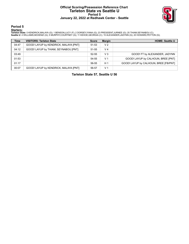### **Official Scoring/Possession Reference Chart Tarleton State vs Seattle U Period 5 January 22, 2022 at Redhawk Center - Seattle**



**Period 5**

#### **Starters:**

**Tarleton State**: 0 KENDRICK,MALAYA (G); 1 BENSON,LUCY (F); 2 DORSEY,IYANA (G); 23 PRESIDENT,JURNEE (G); 25 THIAM,SEYNABOU (C);<br>**Seattie U**: 4 WILLIAMS,MCKENZI (G); 5 MURPHY,COURTNEY (G); 11 KEHOE,GEORGIA (C); 15 ALEXANDER

| <b>Time</b> | <b>VISITORS: Tarleton State</b>       | <b>Score</b> | <b>Margin</b>  | <b>HOME: Seattle U</b>                |
|-------------|---------------------------------------|--------------|----------------|---------------------------------------|
| 04:47       | GOOD! LAYUP by KENDRICK, MALAYA [PNT] | 51-53        | V <sub>2</sub> |                                       |
| 04:12       | GOOD! LAYUP by THIAM, SEYNABOU [PNT]  | 51-55        | V <sub>4</sub> |                                       |
| 03:49       |                                       | $52 - 55$    | $V_3$          | GOOD! FT by ALEXANDER, JADYNN         |
| 01:53       |                                       | 54-55        | V <sub>1</sub> | GOOD! LAYUP by CALHOUN, BREE [PNT]    |
| 01:17       |                                       | 56-55        | H <sub>1</sub> | GOOD! LAYUP by CALHOUN, BREE [FB/PNT] |
| 00:07       | GOOD! LAYUP by KENDRICK, MALAYA [PNT] | 56-57        | V <sub>1</sub> |                                       |

**Tarleton State 57, Seattle U 56**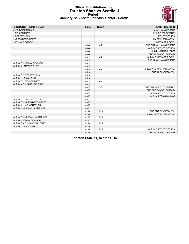

### **Official Substitutions Log Tarleton State vs Seattle U Period 1 January 22, 2022 at Redhawk Center - Seattle**

| <b>VISITORS: Tarleton State</b> | <b>Time</b> | <b>Score</b> | <b>HOME: Seattle U</b>     |
|---------------------------------|-------------|--------------|----------------------------|
| 0 KENDRICK.MALAYA               |             |              | <b>4 WILLIAMS.MCKENZI</b>  |
| 1 BENSON, LUCY                  |             |              | 5 MURPHY, COURTNEY         |
| 2 DORSEY.IYANA                  |             |              | 11 KEHOE, GEORGIA          |
| 23 PRESIDENT, JURNEE            |             |              | 15 ALEXANDER, JADYNN       |
| 25 THIAM, SEYNABOU              |             |              | 20 HOWARD, PEYTON          |
|                                 | 06:46       | $4 - 2$      | SUB OUT: WILLIAMS.MCKENZI  |
|                                 | 06:46       |              | SUB OUT: KEHOE, GEORGIA    |
|                                 | 06:46       |              | SUB IN: CALHOUN, BREE      |
|                                 | 06:46       |              | SUB IN: RANGEL, BARBARA    |
|                                 | 06:12       | $4 - 2$      | SUB OUT: HOWARD, PEYTON    |
|                                 | 06:12       |              | SUB IN: WILLIAMS.MCKENZI   |
| SUB OUT: 25 THIAM, SEYNABOU     | 06:12       |              |                            |
| SUB IN: 21 MITCHELS, NYA        | 06:12       |              |                            |
|                                 | 05:14       | $6 - 4$      | SUB OUT: ALEXANDER, JADYNN |
|                                 | 05:14       |              | SUB IN: CLARK, TALIYAH     |
| SUB OUT: 2 DORSEY, IYANA        | 05:14       |              |                            |
| SUB IN: 12 DICK, JENNA          | 05:14       |              |                            |
| SUB OUT: 1 BENSON, LUCY         | 04:15       | $6 - 4$      |                            |
| SUB IN: 4 CUNNINGHAM, EMILY     | 04:15       |              |                            |
|                                 | 03:27       | $9-6$        | SUB OUT: MURPHY, COURTNEY  |
|                                 | 03:27       |              | SUB OUT: RANGEL, BARBARA   |
|                                 | 03:27       |              | SUB IN: KEHOE, GEORGIA     |
|                                 | 03:27       |              | SUB IN: EZEONU, CHINWE     |
| SUB OUT: 21 MITCHELS, NYA       | 03:27       |              |                            |
| SUB OUT: 23 PRESIDENT, JURNEE   | 03:27       |              |                            |
| SUB IN: 22 JACKSON.TYLER        | 03:27       |              |                            |
| SUB IN: 33 ESCAMILLA, MARISSA   | 03:27       |              |                            |
|                                 | 02:08       | $9 - 10$     | SUB OUT: CLARK, TALIYAH    |
|                                 | 02:08       |              | SUB IN: ALEXANDER, JADYNN  |
| SUB OUT: 33 ESCAMILLA, MARISSA  | 02:07       | $9 - 10$     |                            |
| SUB IN: 25 THIAM, SEYNABOU      | 02:07       |              |                            |
| SUB OUT: 4 CUNNINGHAM, EMILY    | 01:20       | $9 - 15$     |                            |
| SUB IN: 1 BENSON, LUCY          | 01:20       |              |                            |
|                                 | 01:04       | $9 - 15$     | SUB OUT: KEHOE, GEORGIA    |
|                                 | 01:04       |              | SUB IN: RANGEL, BARBARA    |

**Tarleton State 11, Seattle U 15**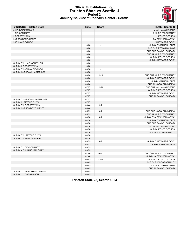

#### **Official Substitutions Log Tarleton State vs Seattle U Period 2 January 22, 2022 at Redhawk Center - Seattle**

| <b>VISITORS: Tarleton State</b> | <b>Time</b>    | <b>Score</b>             | <b>HOME: Seattle U</b>     |
|---------------------------------|----------------|--------------------------|----------------------------|
| 0 KENDRICK.MALAYA               |                |                          | 4 WILLIAMS, MCKENZI        |
| 1 BENSON, LUCY                  |                |                          | 5 MURPHY, COURTNEY         |
| 2 DORSEY, IYANA                 |                |                          | 11 KEHOE, GEORGIA          |
| 23 PRESIDENT, JURNEE            |                |                          | 15 ALEXANDER, JADYNN       |
| 25 THIAM, SEYNABOU              |                |                          | 20 HOWARD, PEYTON          |
|                                 | 10:00          | $\overline{\phantom{a}}$ | SUB OUT: CALHOUN, BREE     |
|                                 | 10:00          |                          | SUB OUT: EZEONU, CHINWE    |
|                                 | 10:00          |                          | SUB OUT: RANGEL, BARBARA   |
|                                 | 10:00          |                          | SUB IN: MURPHY, COURTNEY   |
|                                 | 10:00          |                          | SUB IN: KEHOE, GEORGIA     |
|                                 | 10:00          |                          | SUB IN: HOWARD, PEYTON     |
| SUB OUT: 22 JACKSON, TYLER      | 10:00          |                          |                            |
| SUB IN: 2 DORSEY, IYANA         | 10:00          |                          |                            |
| SUB OUT: 25 THIAM.SEYNABOU      | 08:58          | $\overline{\phantom{a}}$ |                            |
| SUB IN: 33 ESCAMILLA, MARISSA   | 08:58          |                          |                            |
|                                 | 08:24          | 13-18                    | SUB OUT: MURPHY, COURTNEY  |
|                                 | 08:24          |                          | SUB OUT: HOWARD, PEYTON    |
|                                 | 08:24          |                          | SUB IN: CALHOUN, BREE      |
|                                 | 08:24          |                          | SUB IN: KOROLENKO, IRENA   |
|                                 | 07:27          | 13-20                    | SUB OUT: WILLIAMS, MCKENZI |
|                                 | 07:27          |                          | SUB OUT: KEHOE, GEORGIA    |
|                                 | 07:27          |                          | SUB IN: HOWARD, PEYTON     |
|                                 | 07:27          |                          | SUB IN: RANGEL, BARBARA    |
| SUB OUT: 33 ESCAMILLA, MARISSA  | 07:27          |                          |                            |
| SUB IN: 21 MITCHELS, NYA        | 07:27          |                          |                            |
| SUB OUT: 2 DORSEY, IYANA        | 06:44          | $13 - 21$                |                            |
| SUB IN: 23 PRESIDENT, JURNEE    | 06:44          |                          |                            |
|                                 | 05:59          | $16 - 21$                | SUB OUT: KOROLENKO, IRENA  |
|                                 | 05:59          |                          | SUB IN: MURPHY, COURTNEY   |
|                                 | 04:58          | $18 - 21$                | SUB OUT: ALEXANDER, JADYNN |
|                                 | 04:58          |                          | SUB OUT: CALHOUN, BREE     |
|                                 |                |                          |                            |
|                                 | 04:58          |                          | SUB OUT: RANGEL, BARBARA   |
|                                 | 04:58<br>04:58 |                          | SUB IN: WILLIAMS, MCKENZI  |
|                                 |                |                          | SUB IN: KEHOE, GEORGIA     |
|                                 | 04:58          |                          | SUB IN: VICE-NEAT, HAILEY  |
| SUB OUT: 21 MITCHELS, NYA       | 04:58          |                          |                            |
| SUB IN: 25 THIAM.SEYNABOU       | 04:58          |                          |                            |
|                                 | 03:53          | $18 - 21$                | SUB OUT: HOWARD, PEYTON    |
|                                 | 03:53          |                          | SUB IN: CALHOUN, BREE      |
| SUB OUT: 1 BENSON, LUCY         | 03:53          |                          |                            |
| SUB IN: 4 CUNNINGHAM, EMILY     | 03:53          |                          |                            |
|                                 | 02:48          | $20 - 21$                | SUB OUT: MURPHY, COURTNEY  |
|                                 | 02:48          |                          | SUB IN: ALEXANDER, JADYNN  |
|                                 | 00:45          | $22 - 24$                | SUB OUT: KEHOE, GEORGIA    |
|                                 | 00:45          |                          | SUB OUT: VICE-NEAT, HAILEY |
|                                 | 00:45          |                          | SUB IN: EZEONU, CHINWE     |
|                                 | 00:45          |                          | SUB IN: RANGEL, BARBARA    |
| SUB OUT: 23 PRESIDENT, JURNEE   | 00:45          |                          |                            |
| SUB IN: 11 JONES, MASON         | 00:45          |                          |                            |

**Tarleton State 25, Seattle U 24**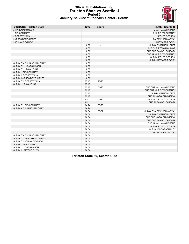

#### **Official Substitutions Log Tarleton State vs Seattle U Period 3 January 22, 2022 at Redhawk Center - Seattle**

| <b>VISITORS: Tarleton State</b> | <b>Time</b> | <b>Score</b>   | <b>HOME: Seattle U</b>     |
|---------------------------------|-------------|----------------|----------------------------|
| 0 KENDRICK, MALAYA              |             |                | <b>4 WILLIAMS.MCKENZI</b>  |
| 1 BENSON, LUCY                  |             |                | 5 MURPHY, COURTNEY         |
| 2 DORSEY, IYANA                 |             |                | 11 KEHOE, GEORGIA          |
| 23 PRESIDENT, JURNEE            |             |                | 15 ALEXANDER, JADYNN       |
| 25 THIAM, SEYNABOU              |             |                | 20 HOWARD, PEYTON          |
|                                 | 10:00       | $\overline{a}$ | SUB OUT: CALHOUN, BREE     |
|                                 | 10:00       |                | SUB OUT: EZEONU, CHINWE    |
|                                 | 10:00       |                | SUB OUT: RANGEL, BARBARA   |
|                                 | 10:00       |                | SUB IN: MURPHY, COURTNEY   |
|                                 | 10:00       |                | SUB IN: KEHOE, GEORGIA     |
|                                 | 10:00       |                | SUB IN: HOWARD, PEYTON     |
| SUB OUT: 4 CUNNINGHAM, EMILY    | 10:00       |                |                            |
| SUB OUT: 11 JONES, MASON        | 10:00       |                |                            |
| SUB OUT: 12 DICK, JENNA         | 10:00       |                |                            |
| SUB IN: 1 BENSON, LUCY          | 10:00       |                |                            |
| SUB IN: 2 DORSEY IYANA          | 10:00       |                |                            |
| SUB IN: 23 PRESIDENT, JURNEE    | 10:00       |                |                            |
| SUB OUT: 2 DORSEY, IYANA        | 07:15       | 28-26          |                            |
| SUB IN: 12 DICK, JENNA          | 07:15       |                |                            |
|                                 | 05:16       | 31-28          | SUB OUT: WILLIAMS, MCKENZI |
|                                 | 05:16       |                | SUB OUT: MURPHY, COURTNEY  |
|                                 | 05:16       |                | SUB IN: CALHOUN, BREE      |
|                                 | 05:16       |                | SUB IN: KOROLENKO, IRENA   |
|                                 | 05:11       | $31 - 28$      | SUB OUT: KEHOE, GEORGIA    |
|                                 | 05:11       |                | SUB IN: RANGEL, BARBARA    |
| SUB OUT: 1 BENSON, LUCY         | 04:24       | 35-28          |                            |
| SUB IN: 4 CUNNINGHAM.EMILY      | 04:24       |                |                            |
|                                 | 00:54       | 39-32          | SUB OUT: ALEXANDER, JADYNN |
|                                 | 00:54       |                | SUB OUT: CALHOUN, BREE     |
|                                 | 00:54       |                | SUB OUT: KOROLENKO, IRENA  |
|                                 | 00:54       |                | SUB OUT: RANGEL, BARBARA   |
|                                 | 00:54       |                | SUB IN: WILLIAMS, MCKENZI  |
|                                 | 00:54       |                | SUB IN: KEHOE, GEORGIA     |
|                                 | 00:54       |                | SUB IN: VICE-NEAT, HAILEY  |
|                                 | 00:54       |                | SUB IN: CLARK, TALIYAH     |
| SUB OUT: 4 CUNNINGHAM, EMILY    | 00:54       |                |                            |
| SUB OUT: 23 PRESIDENT, JURNEE   | 00:54       |                |                            |
| SUB OUT: 25 THIAM, SEYNABOU     | 00:54       |                |                            |
| SUB IN: 1 BENSON, LUCY          | 00:54       |                |                            |
| SUB IN: 11 JONES, MASON         | 00:54       |                |                            |
| SUB IN: 21 MITCHELS, NYA        | 00:54       |                |                            |

**Tarleton State 39, Seattle U 32**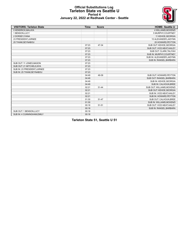

### **Official Substitutions Log Tarleton State vs Seattle U Period 4 January 22, 2022 at Redhawk Center - Seattle**

| <b>VISITORS: Tarleton State</b> | <b>Time</b> | <b>Score</b> | <b>HOME: Seattle U</b>     |
|---------------------------------|-------------|--------------|----------------------------|
| 0 KENDRICK, MALAYA              |             |              | 4 WILLIAMS, MCKENZI        |
| 1 BENSON, LUCY                  |             |              | 5 MURPHY, COURTNEY         |
| 2 DORSEY, IYANA                 |             |              | 11 KEHOE, GEORGIA          |
| 23 PRESIDENT, JURNEE            |             |              | 15 ALEXANDER, JADYNN       |
| 25 THIAM, SEYNABOU              |             |              | 20 HOWARD, PEYTON          |
|                                 | 07:23       | 47-34        | SUB OUT: KEHOE, GEORGIA    |
|                                 | 07:23       |              | SUB OUT: VICE-NEAT, HAILEY |
|                                 | 07:23       |              | SUB OUT: CLARK, TALIYAH    |
|                                 | 07:23       |              | SUB IN: MURPHY, COURTNEY   |
|                                 | 07:23       |              | SUB IN: ALEXANDER, JADYNN  |
|                                 | 07:23       |              | SUB IN: RANGEL, BARBARA    |
| SUB OUT: 11 JONES MASON         | 07:23       |              |                            |
| SUB OUT: 21 MITCHELS, NYA       | 07:23       |              |                            |
| SUB IN: 23 PRESIDENT, JURNEE    | 07:23       |              |                            |
| SUB IN: 25 THIAM, SEYNABOU      | 07:23       |              |                            |
|                                 | 04:49       | 49-39        | SUB OUT: HOWARD, PEYTON    |
|                                 | 04:49       |              | SUB OUT: RANGEL, BARBARA   |
|                                 | 04:49       |              | SUB IN: KEHOE, GEORGIA     |
|                                 | 04:49       |              | SUB IN: CALHOUN, BREE      |
|                                 | 02:21       | $51 - 44$    | SUB OUT: WILLIAMS, MCKENZI |
|                                 | 02:21       |              | SUB OUT: KEHOE, GEORGIA    |
|                                 | 02:21       |              | SUB IN: VICE-NEAT, HAILEY  |
|                                 | 02:21       |              | SUB IN: HOWARD, PEYTON     |
|                                 | 01:30       | 51-47        | SUB OUT: CALHOUN, BREE     |
|                                 | 01:30       |              | SUB IN: WILLIAMS, MCKENZI  |
|                                 | 00:18       | 51-51        | SUB OUT: VICE-NEAT, HAILEY |
|                                 | 00:18       |              | SUB IN: RANGEL, BARBARA    |
| SUB OUT: 1 BENSON, LUCY         | 00:18       |              |                            |
| SUB IN: 4 CUNNINGHAM, EMILY     | 00:18       |              |                            |

**Tarleton State 51, Seattle U 51**